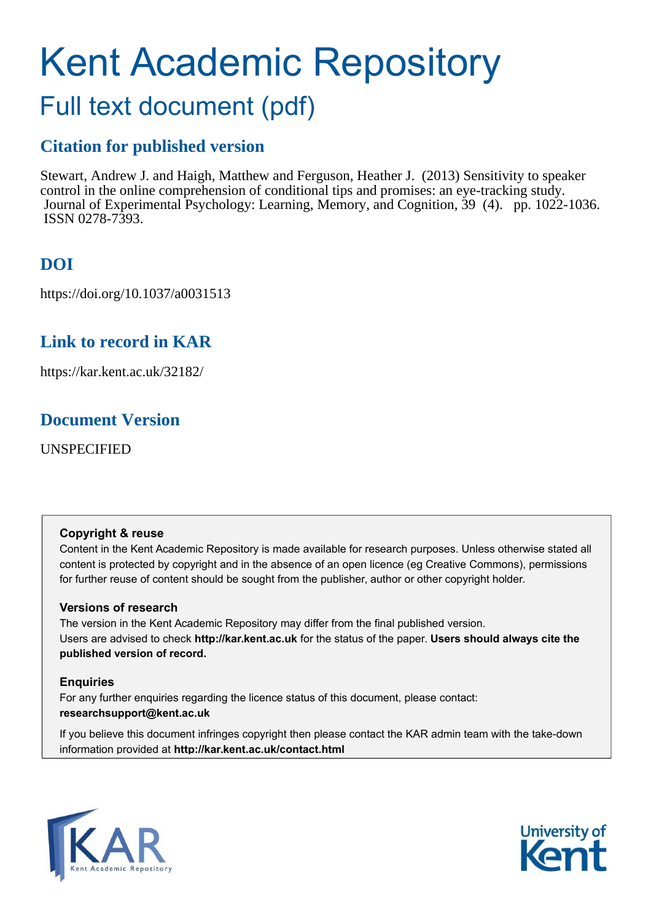# Kent Academic Repository Full text document (pdf)

# **Citation for published version**

Stewart, Andrew J. and Haigh, Matthew and Ferguson, Heather J. (2013) Sensitivity to speaker control in the online comprehension of conditional tips and promises: an eye-tracking study. Journal of Experimental Psychology: Learning, Memory, and Cognition, 39 (4). pp. 1022-1036. ISSN 0278-7393.

# **DOI**

https://doi.org/10.1037/a0031513

# **Link to record in KAR**

https://kar.kent.ac.uk/32182/

# **Document Version**

UNSPECIFIED

# **Copyright & reuse**

Content in the Kent Academic Repository is made available for research purposes. Unless otherwise stated all content is protected by copyright and in the absence of an open licence (eg Creative Commons), permissions for further reuse of content should be sought from the publisher, author or other copyright holder.

# **Versions of research**

The version in the Kent Academic Repository may differ from the final published version. Users are advised to check **http://kar.kent.ac.uk** for the status of the paper. **Users should always cite the published version of record.**

# **Enquiries**

For any further enquiries regarding the licence status of this document, please contact: **researchsupport@kent.ac.uk**

If you believe this document infringes copyright then please contact the KAR admin team with the take-down information provided at **http://kar.kent.ac.uk/contact.html**



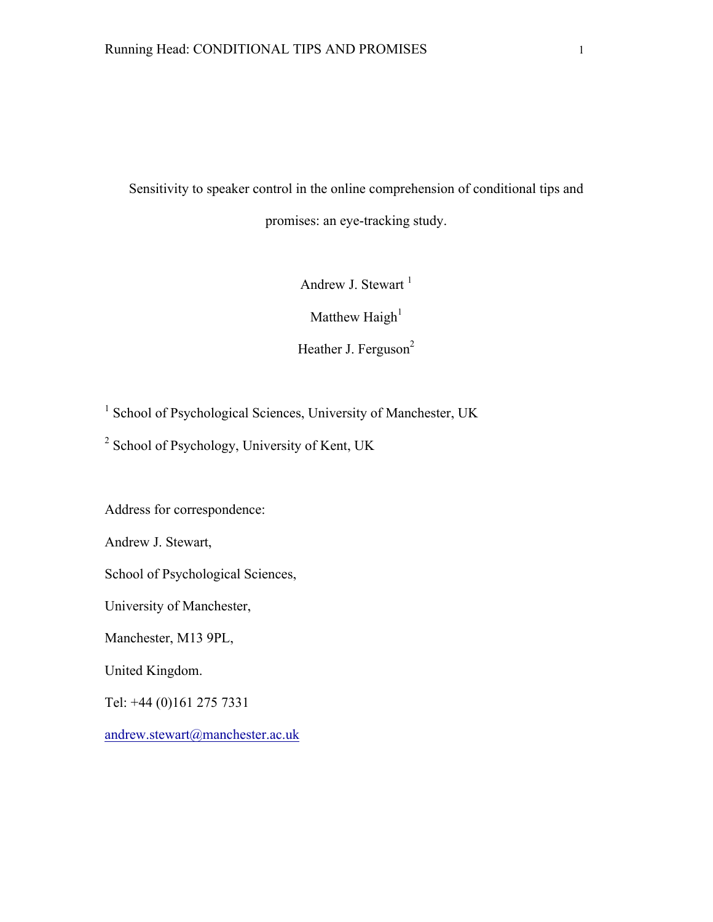Sensitivity to speaker control in the online comprehension of conditional tips and promises: an eye-tracking study.

Andrew J. Stewart<sup>1</sup>

Matthew  $\text{Haigh}^1$ 

Heather J. Ferguson<sup>2</sup>

<sup>1</sup> School of Psychological Sciences, University of Manchester, UK

<sup>2</sup> School of Psychology, University of Kent, UK

Address for correspondence:

Andrew J. Stewart,

School of Psychological Sciences,

University of Manchester,

Manchester, M13 9PL,

United Kingdom.

Tel: +44 (0)161 275 7331

andrew.stewart@manchester.ac.uk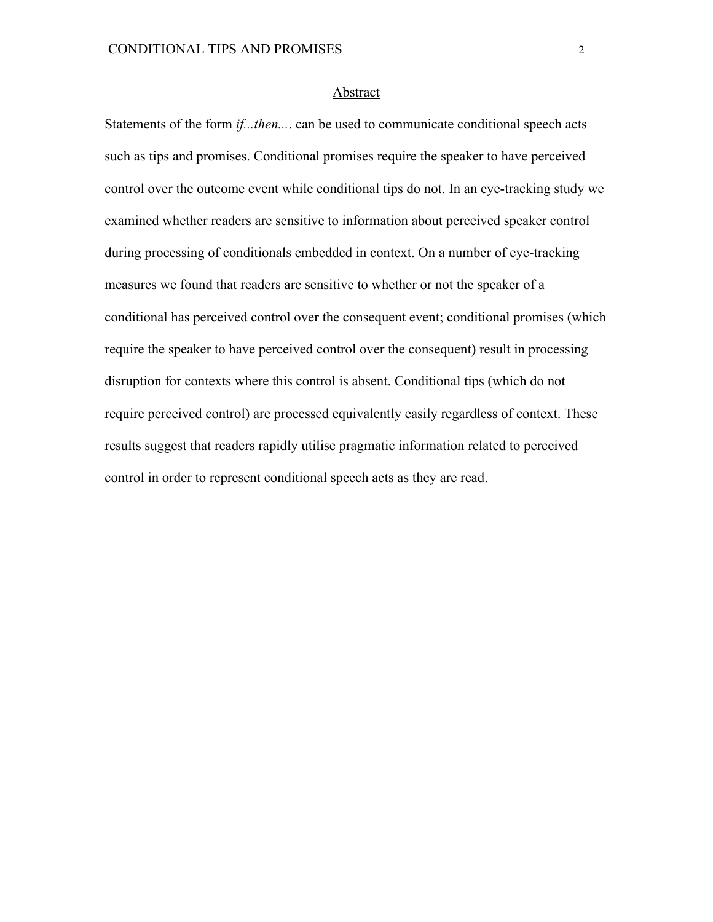#### Abstract

Statements of the form *if...then....* can be used to communicate conditional speech acts such as tips and promises. Conditional promises require the speaker to have perceived control over the outcome event while conditional tips do not. In an eye-tracking study we examined whether readers are sensitive to information about perceived speaker control during processing of conditionals embedded in context. On a number of eye-tracking measures we found that readers are sensitive to whether or not the speaker of a conditional has perceived control over the consequent event; conditional promises (which require the speaker to have perceived control over the consequent) result in processing disruption for contexts where this control is absent. Conditional tips (which do not require perceived control) are processed equivalently easily regardless of context. These results suggest that readers rapidly utilise pragmatic information related to perceived control in order to represent conditional speech acts as they are read.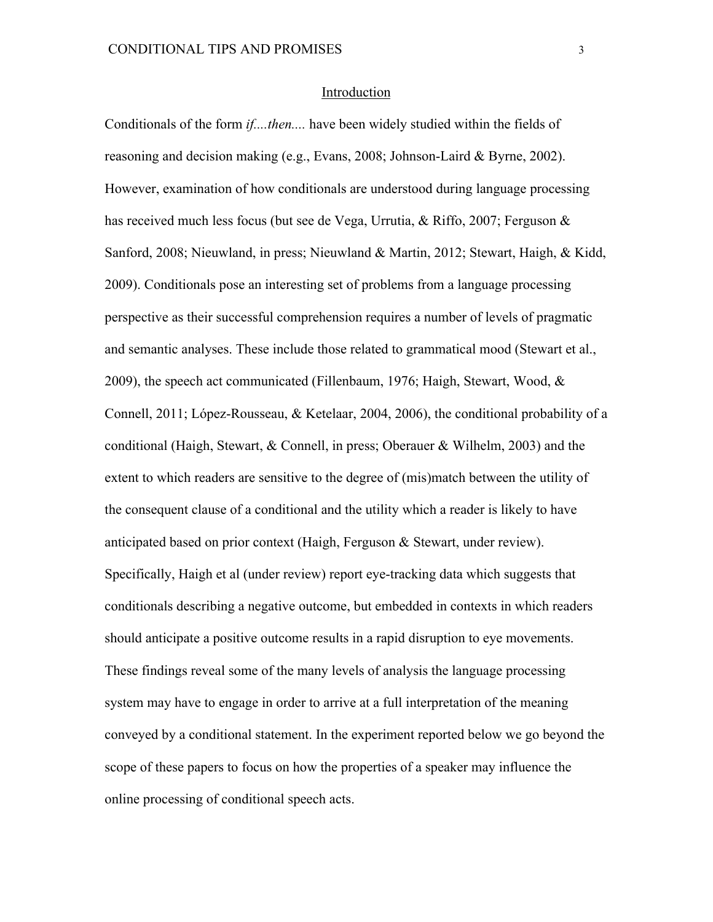#### Introduction

Conditionals of the form *if....then....* have been widely studied within the fields of reasoning and decision making (e.g., Evans, 2008; Johnson-Laird & Byrne, 2002). However, examination of how conditionals are understood during language processing has received much less focus (but see de Vega, Urrutia, & Riffo, 2007; Ferguson & Sanford, 2008; Nieuwland, in press; Nieuwland & Martin, 2012; Stewart, Haigh, & Kidd, 2009). Conditionals pose an interesting set of problems from a language processing perspective as their successful comprehension requires a number of levels of pragmatic and semantic analyses. These include those related to grammatical mood (Stewart et al., 2009), the speech act communicated (Fillenbaum, 1976; Haigh, Stewart, Wood,  $\&$ Connell, 2011; López-Rousseau, & Ketelaar, 2004, 2006), the conditional probability of a conditional (Haigh, Stewart, & Connell, in press; Oberauer & Wilhelm, 2003) and the extent to which readers are sensitive to the degree of (mis)match between the utility of the consequent clause of a conditional and the utility which a reader is likely to have anticipated based on prior context (Haigh, Ferguson & Stewart, under review). Specifically, Haigh et al (under review) report eye-tracking data which suggests that conditionals describing a negative outcome, but embedded in contexts in which readers should anticipate a positive outcome results in a rapid disruption to eye movements. These findings reveal some of the many levels of analysis the language processing system may have to engage in order to arrive at a full interpretation of the meaning conveyed by a conditional statement. In the experiment reported below we go beyond the scope of these papers to focus on how the properties of a speaker may influence the online processing of conditional speech acts.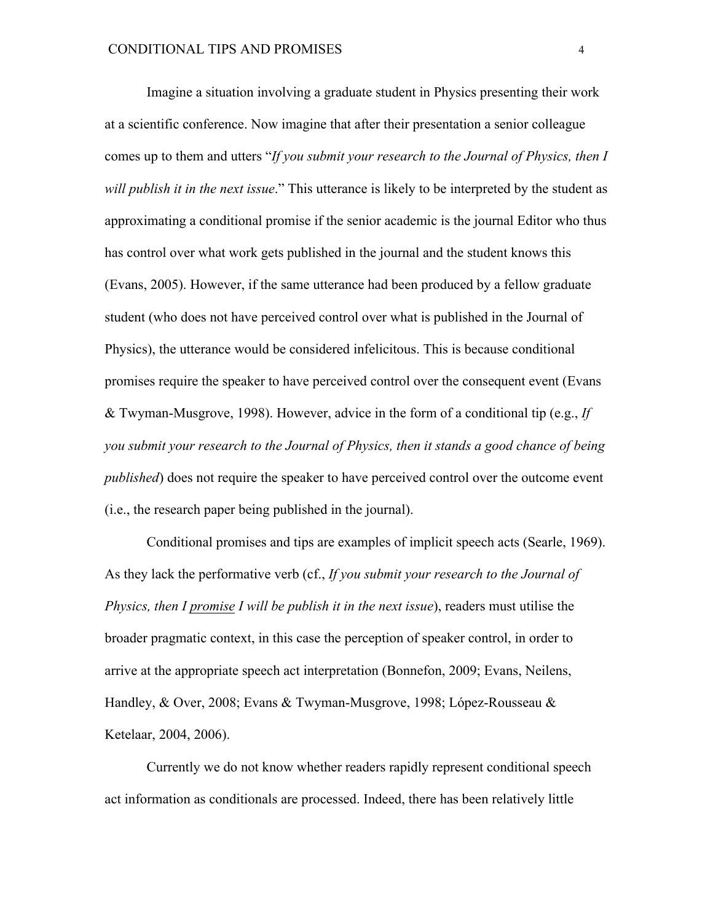Imagine a situation involving a graduate student in Physics presenting their work at a scientific conference. Now imagine that after their presentation a senior colleague comes up to them and utters "*If you submit your research to the Journal of Physics, then I will publish it in the next issue*." This utterance is likely to be interpreted by the student as approximating a conditional promise if the senior academic is the journal Editor who thus has control over what work gets published in the journal and the student knows this (Evans, 2005). However, if the same utterance had been produced by a fellow graduate student (who does not have perceived control over what is published in the Journal of Physics), the utterance would be considered infelicitous. This is because conditional promises require the speaker to have perceived control over the consequent event (Evans & Twyman-Musgrove, 1998). However, advice in the form of a conditional tip (e.g., *If you submit your research to the Journal of Physics, then it stands a good chance of being published*) does not require the speaker to have perceived control over the outcome event (i.e., the research paper being published in the journal).

Conditional promises and tips are examples of implicit speech acts (Searle, 1969). As they lack the performative verb (cf., *If you submit your research to the Journal of Physics, then I promise I will be publish it in the next issue*), readers must utilise the broader pragmatic context, in this case the perception of speaker control, in order to arrive at the appropriate speech act interpretation (Bonnefon, 2009; Evans, Neilens, Handley, & Over, 2008; Evans & Twyman-Musgrove, 1998; López-Rousseau & Ketelaar, 2004, 2006).

 Currently we do not know whether readers rapidly represent conditional speech act information as conditionals are processed. Indeed, there has been relatively little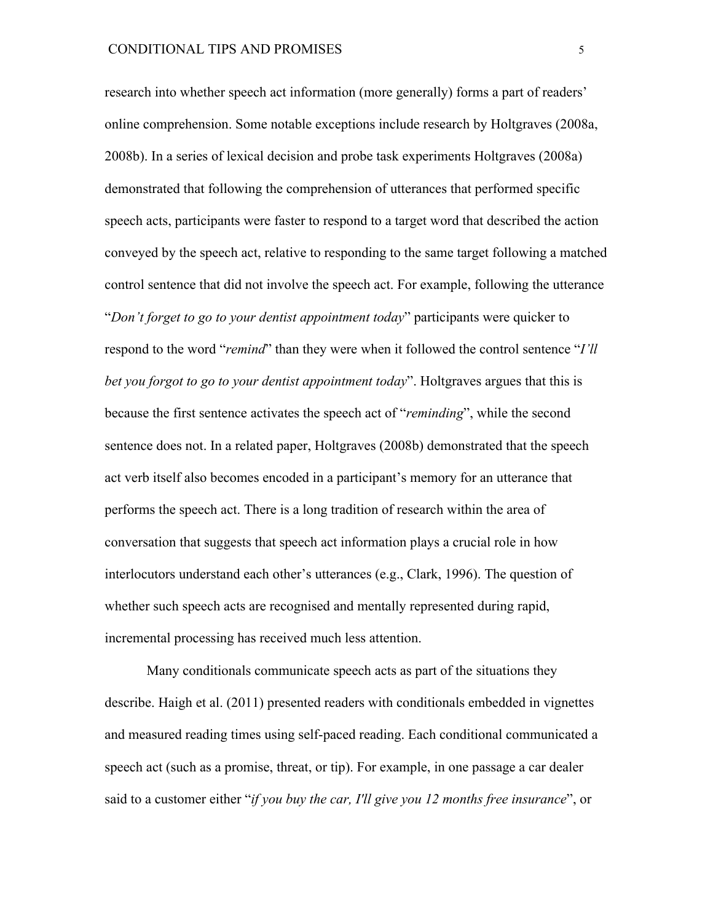research into whether speech act information (more generally) forms a part of readers' online comprehension. Some notable exceptions include research by Holtgraves (2008a, 2008b). In a series of lexical decision and probe task experiments Holtgraves (2008a) demonstrated that following the comprehension of utterances that performed specific speech acts, participants were faster to respond to a target word that described the action conveyed by the speech act, relative to responding to the same target following a matched control sentence that did not involve the speech act. For example, following the utterance "*Don't forget to go to your dentist appointment today*" participants were quicker to respond to the word "*remind*" than they were when it followed the control sentence "*I'll bet you forgot to go to your dentist appointment today*". Holtgraves argues that this is because the first sentence activates the speech act of "*reminding*", while the second sentence does not. In a related paper, Holtgraves (2008b) demonstrated that the speech act verb itself also becomes encoded in a participant's memory for an utterance that performs the speech act. There is a long tradition of research within the area of conversation that suggests that speech act information plays a crucial role in how interlocutors understand each other's utterances (e.g., Clark, 1996). The question of whether such speech acts are recognised and mentally represented during rapid, incremental processing has received much less attention.

Many conditionals communicate speech acts as part of the situations they describe. Haigh et al. (2011) presented readers with conditionals embedded in vignettes and measured reading times using self-paced reading. Each conditional communicated a speech act (such as a promise, threat, or tip). For example, in one passage a car dealer said to a customer either "*if you buy the car, I'll give you 12 months free insurance*", or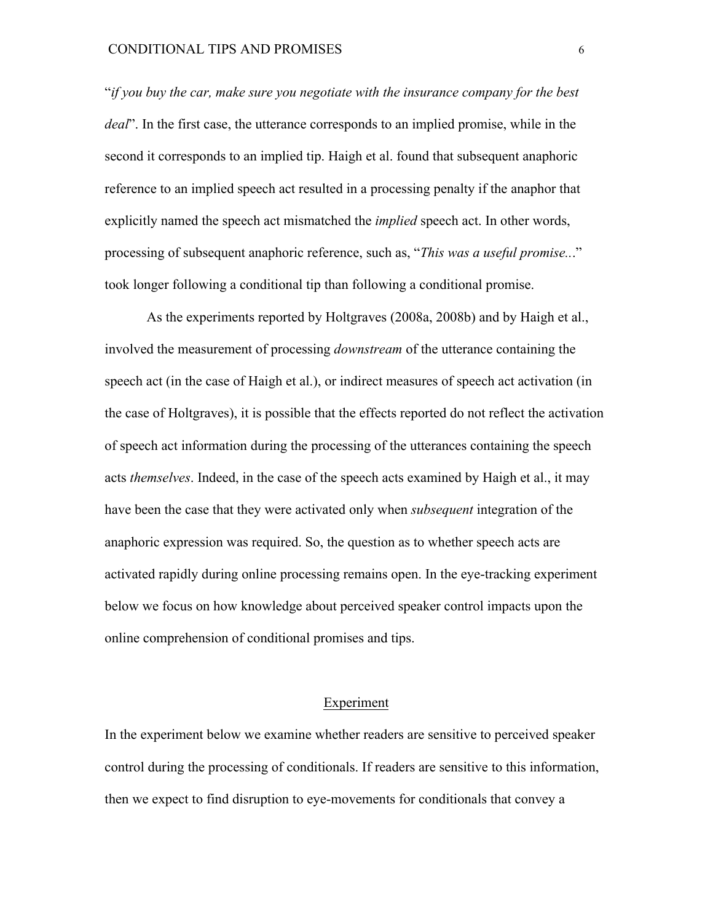"*if you buy the car, make sure you negotiate with the insurance company for the best deal*". In the first case, the utterance corresponds to an implied promise, while in the second it corresponds to an implied tip. Haigh et al. found that subsequent anaphoric reference to an implied speech act resulted in a processing penalty if the anaphor that explicitly named the speech act mismatched the *implied* speech act. In other words, processing of subsequent anaphoric reference, such as, "*This was a useful promise..*." took longer following a conditional tip than following a conditional promise.

As the experiments reported by Holtgraves (2008a, 2008b) and by Haigh et al., involved the measurement of processing *downstream* of the utterance containing the speech act (in the case of Haigh et al.), or indirect measures of speech act activation (in the case of Holtgraves), it is possible that the effects reported do not reflect the activation of speech act information during the processing of the utterances containing the speech acts *themselves*. Indeed, in the case of the speech acts examined by Haigh et al., it may have been the case that they were activated only when *subsequent* integration of the anaphoric expression was required. So, the question as to whether speech acts are activated rapidly during online processing remains open. In the eye-tracking experiment below we focus on how knowledge about perceived speaker control impacts upon the online comprehension of conditional promises and tips.

#### Experiment

In the experiment below we examine whether readers are sensitive to perceived speaker control during the processing of conditionals. If readers are sensitive to this information, then we expect to find disruption to eye-movements for conditionals that convey a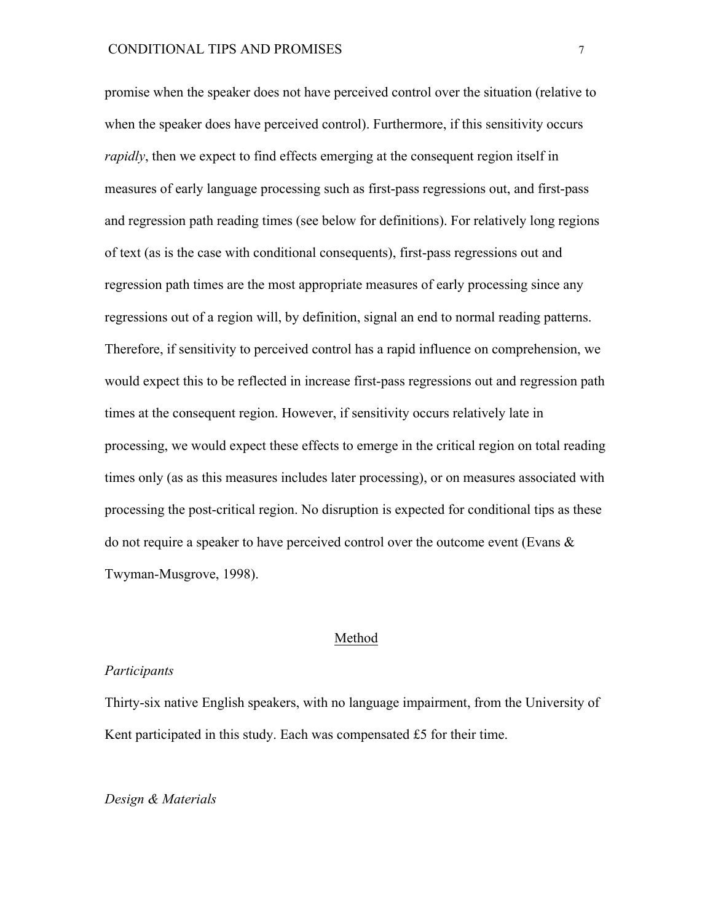promise when the speaker does not have perceived control over the situation (relative to when the speaker does have perceived control). Furthermore, if this sensitivity occurs *rapidly*, then we expect to find effects emerging at the consequent region itself in measures of early language processing such as first-pass regressions out, and first-pass and regression path reading times (see below for definitions). For relatively long regions of text (as is the case with conditional consequents), first-pass regressions out and regression path times are the most appropriate measures of early processing since any regressions out of a region will, by definition, signal an end to normal reading patterns. Therefore, if sensitivity to perceived control has a rapid influence on comprehension, we would expect this to be reflected in increase first-pass regressions out and regression path times at the consequent region. However, if sensitivity occurs relatively late in processing, we would expect these effects to emerge in the critical region on total reading times only (as as this measures includes later processing), or on measures associated with processing the post-critical region. No disruption is expected for conditional tips as these do not require a speaker to have perceived control over the outcome event (Evans  $\&$ Twyman-Musgrove, 1998).

#### Method

#### *Participants*

Thirty-six native English speakers, with no language impairment, from the University of Kent participated in this study. Each was compensated £5 for their time.

#### *Design & Materials*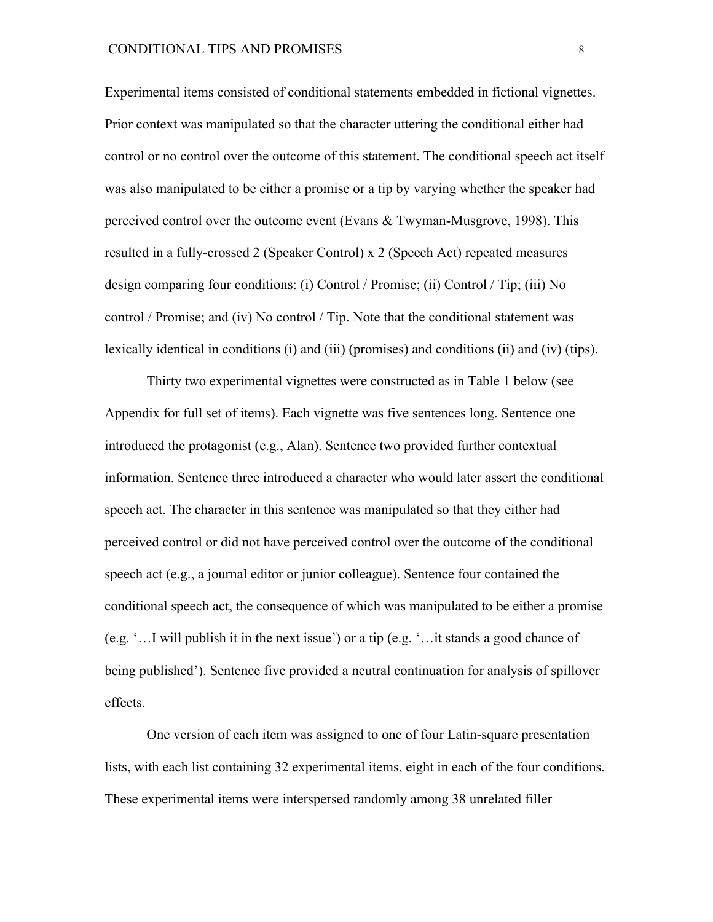Experimental items consisted of conditional statements embedded in fictional vignettes. Prior context was manipulated so that the character uttering the conditional either had control or no control over the outcome of this statement. The conditional speech act itself was also manipulated to be either a promise or a tip by varying whether the speaker had perceived control over the outcome event (Evans & Twyman-Musgrove, 1998). This resulted in a fully-crossed 2 (Speaker Control) x 2 (Speech Act) repeated measures design comparing four conditions: (i) Control / Promise; (ii) Control / Tip; (iii) No control / Promise; and (iv) No control / Tip. Note that the conditional statement was lexically identical in conditions (i) and (iii) (promises) and conditions (ii) and (iv) (tips).

Thirty two experimental vignettes were constructed as in Table 1 below (see Appendix for full set of items). Each vignette was five sentences long. Sentence one introduced the protagonist (e.g., Alan). Sentence two provided further contextual information. Sentence three introduced a character who would later assert the conditional speech act. The character in this sentence was manipulated so that they either had perceived control or did not have perceived control over the outcome of the conditional speech act (e.g., a journal editor or junior colleague). Sentence four contained the conditional speech act, the consequence of which was manipulated to be either a promise (e.g. '…I will publish it in the next issue') or a tip (e.g. '…it stands a good chance of being published'). Sentence five provided a neutral continuation for analysis of spillover effects.

One version of each item was assigned to one of four Latin-square presentation lists, with each list containing 32 experimental items, eight in each of the four conditions. These experimental items were interspersed randomly among 38 unrelated filler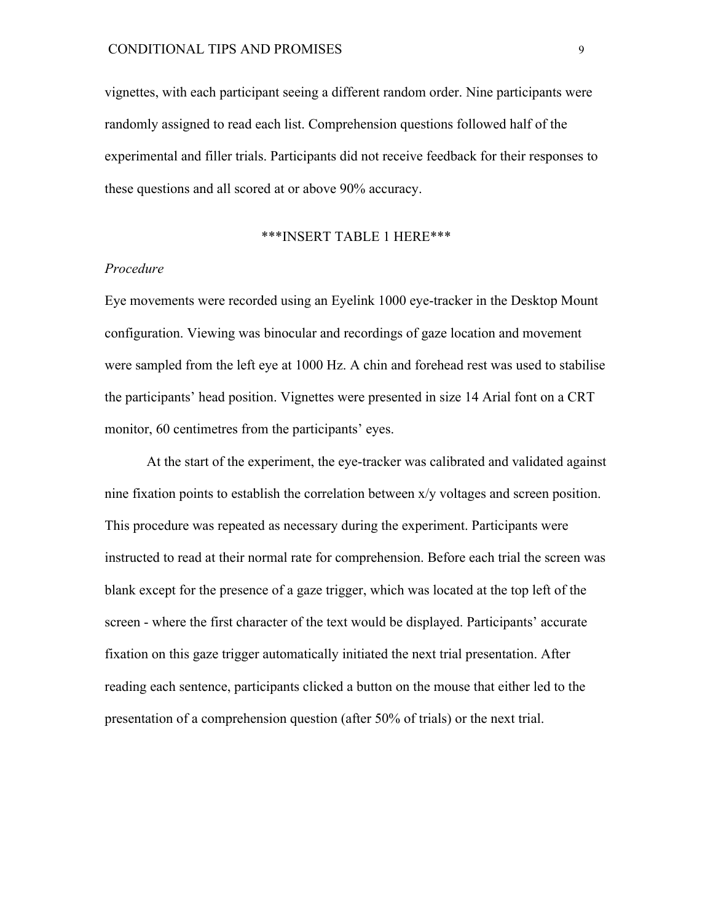vignettes, with each participant seeing a different random order. Nine participants were randomly assigned to read each list. Comprehension questions followed half of the experimental and filler trials. Participants did not receive feedback for their responses to these questions and all scored at or above 90% accuracy.

#### \*\*\*INSERT TABLE 1 HERE\*\*\*

# *Procedure*

Eye movements were recorded using an Eyelink 1000 eye-tracker in the Desktop Mount configuration. Viewing was binocular and recordings of gaze location and movement were sampled from the left eye at 1000 Hz. A chin and forehead rest was used to stabilise the participants' head position. Vignettes were presented in size 14 Arial font on a CRT monitor, 60 centimetres from the participants' eyes.

At the start of the experiment, the eye-tracker was calibrated and validated against nine fixation points to establish the correlation between x/y voltages and screen position. This procedure was repeated as necessary during the experiment. Participants were instructed to read at their normal rate for comprehension. Before each trial the screen was blank except for the presence of a gaze trigger, which was located at the top left of the screen - where the first character of the text would be displayed. Participants' accurate fixation on this gaze trigger automatically initiated the next trial presentation. After reading each sentence, participants clicked a button on the mouse that either led to the presentation of a comprehension question (after 50% of trials) or the next trial.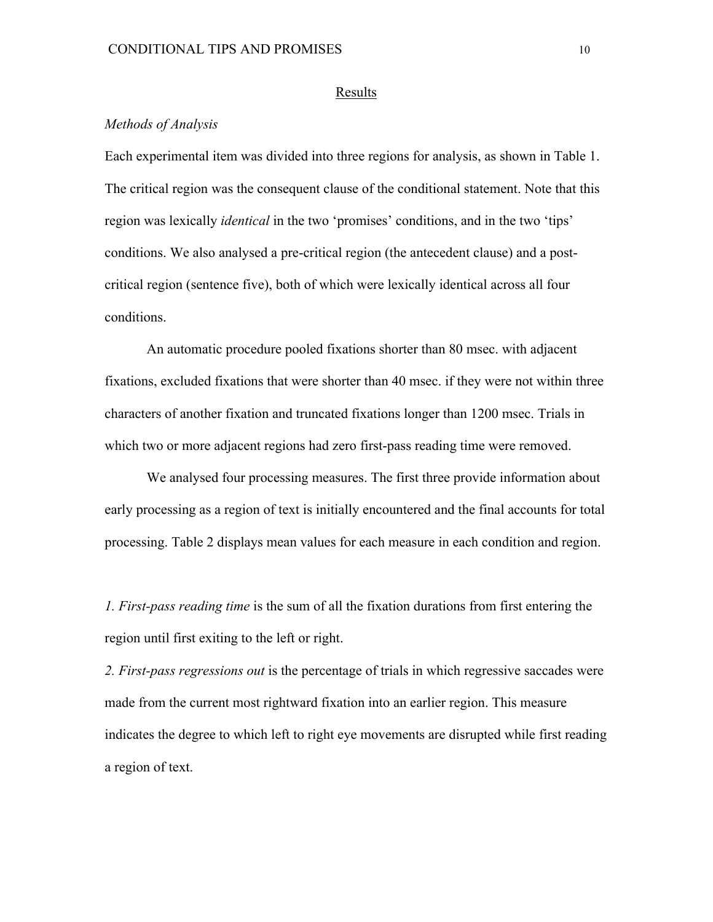#### Results

#### *Methods of Analysis*

Each experimental item was divided into three regions for analysis, as shown in Table 1. The critical region was the consequent clause of the conditional statement. Note that this region was lexically *identical* in the two 'promises' conditions, and in the two 'tips' conditions. We also analysed a pre-critical region (the antecedent clause) and a postcritical region (sentence five), both of which were lexically identical across all four conditions.

An automatic procedure pooled fixations shorter than 80 msec. with adjacent fixations, excluded fixations that were shorter than 40 msec. if they were not within three characters of another fixation and truncated fixations longer than 1200 msec. Trials in which two or more adjacent regions had zero first-pass reading time were removed.

We analysed four processing measures. The first three provide information about early processing as a region of text is initially encountered and the final accounts for total processing. Table 2 displays mean values for each measure in each condition and region.

*1. First-pass reading time* is the sum of all the fixation durations from first entering the region until first exiting to the left or right.

*2. First-pass regressions out* is the percentage of trials in which regressive saccades were made from the current most rightward fixation into an earlier region. This measure indicates the degree to which left to right eye movements are disrupted while first reading a region of text.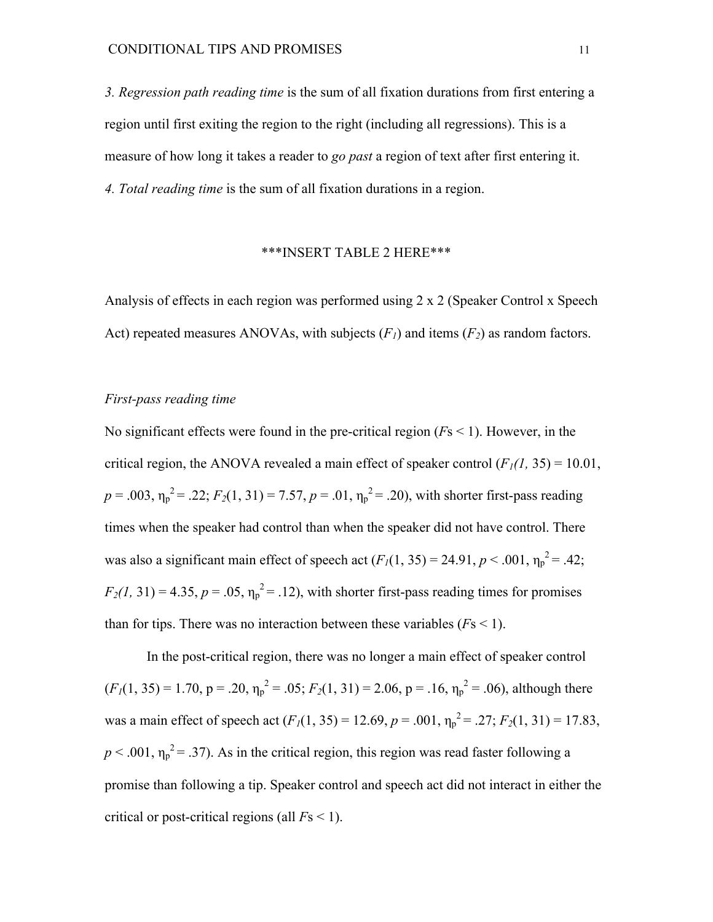*3. Regression path reading time* is the sum of all fixation durations from first entering a region until first exiting the region to the right (including all regressions). This is a measure of how long it takes a reader to *go past* a region of text after first entering it. *4. Total reading time* is the sum of all fixation durations in a region.

#### \*\*\*INSERT TABLE 2 HERE\*\*\*

Analysis of effects in each region was performed using 2 x 2 (Speaker Control x Speech Act) repeated measures ANOVAs, with subjects  $(F<sub>1</sub>)$  and items  $(F<sub>2</sub>)$  as random factors.

## *First-pass reading time*

No significant effects were found in the pre-critical region (*F*s < 1). However, in the critical region, the ANOVA revealed a main effect of speaker control  $(F_1(1, 35) = 10.01$ ,  $p = .003$ ,  $\eta_p^2 = .22$ ;  $F_2(1, 31) = 7.57$ ,  $p = .01$ ,  $\eta_p^2 = .20$ ), with shorter first-pass reading times when the speaker had control than when the speaker did not have control. There was also a significant main effect of speech act  $(F_1(1, 35) = 24.91, p < .001, \eta_p^2 = .42;$  $F_2(1, 31) = 4.35, p = .05, \eta_p^2 = .12$ , with shorter first-pass reading times for promises than for tips. There was no interaction between these variables  $(Fs < 1)$ .

In the post-critical region, there was no longer a main effect of speaker control  $(F_1(1, 35) = 1.70$ ,  $p = .20$ ,  $\eta_p^2 = .05$ ;  $F_2(1, 31) = 2.06$ ,  $p = .16$ ,  $\eta_p^2 = .06$ ), although there was a main effect of speech act  $(F_I(1, 35) = 12.69, p = .001, \eta_p^2 = .27; F_2(1, 31) = 17.83$ ,  $p < .001$ ,  $\eta_p^2 = .37$ ). As in the critical region, this region was read faster following a promise than following a tip. Speaker control and speech act did not interact in either the critical or post-critical regions (all *F*s < 1).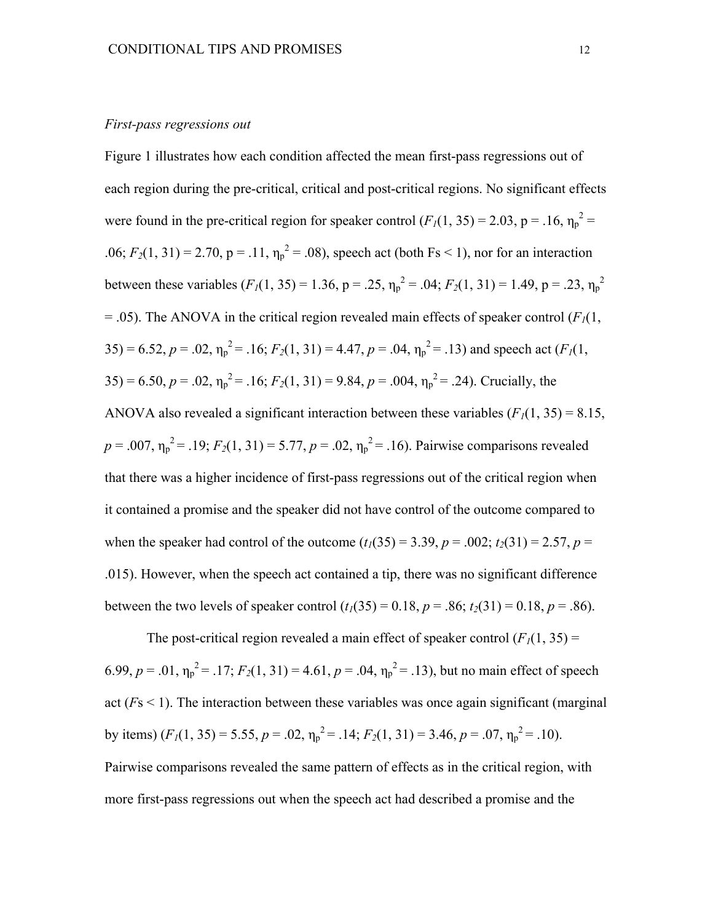#### *First-pass regressions out*

Figure 1 illustrates how each condition affected the mean first-pass regressions out of each region during the pre-critical, critical and post-critical regions. No significant effects were found in the pre-critical region for speaker control  $(F_1(1, 35) = 2.03, p = .16, \eta_p^2 =$ .06;  $F_2(1, 31) = 2.70$ ,  $p = .11$ ,  $\eta_p^2 = .08$ ), speech act (both Fs < 1), nor for an interaction between these variables  $(F_I(1, 35) = 1.36, p = .25, \eta_p^2 = .04; F_2(1, 31) = 1.49, p = .23, \eta_p^2$  $= .05$ ). The ANOVA in the critical region revealed main effects of speaker control ( $F_I(1, 1)$ ) 35) = 6.52,  $p = .02$ ,  $\eta_p^2 = .16$ ;  $F_2(1, 31) = 4.47$ ,  $p = .04$ ,  $\eta_p^2 = .13$ ) and speech act ( $F_1(1, 31) = .04$ )  $35) = 6.50, p = .02, \eta_p^2 = .16; F_2(1, 31) = 9.84, p = .004, \eta_p^2 = .24$ ). Crucially, the ANOVA also revealed a significant interaction between these variables  $(F_1(1, 35) = 8.15$ ,  $p = .007$ ,  $\eta_p^2 = .19$ ;  $F_2(1, 31) = 5.77$ ,  $p = .02$ ,  $\eta_p^2 = .16$ ). Pairwise comparisons revealed that there was a higher incidence of first-pass regressions out of the critical region when it contained a promise and the speaker did not have control of the outcome compared to when the speaker had control of the outcome  $(t_1(35) = 3.39, p = .002; t_2(31) = 2.57, p = .002$ .015). However, when the speech act contained a tip, there was no significant difference between the two levels of speaker control  $(t_1(35) = 0.18, p = .86; t_2(31) = 0.18, p = .86)$ .

The post-critical region revealed a main effect of speaker control  $(F_1(1, 35))$  = 6.99,  $p = 0.01$ ,  $\eta_p^2 = 0.17$ ;  $F_2(1, 31) = 4.61$ ,  $p = 0.04$ ,  $\eta_p^2 = 0.13$ ), but no main effect of speech act  $(Fs < 1)$ . The interaction between these variables was once again significant (marginal by items)  $(F_I(1, 35) = 5.55, p = .02, \eta_p^2 = .14; F_2(1, 31) = 3.46, p = .07, \eta_p^2 = .10)$ . Pairwise comparisons revealed the same pattern of effects as in the critical region, with more first-pass regressions out when the speech act had described a promise and the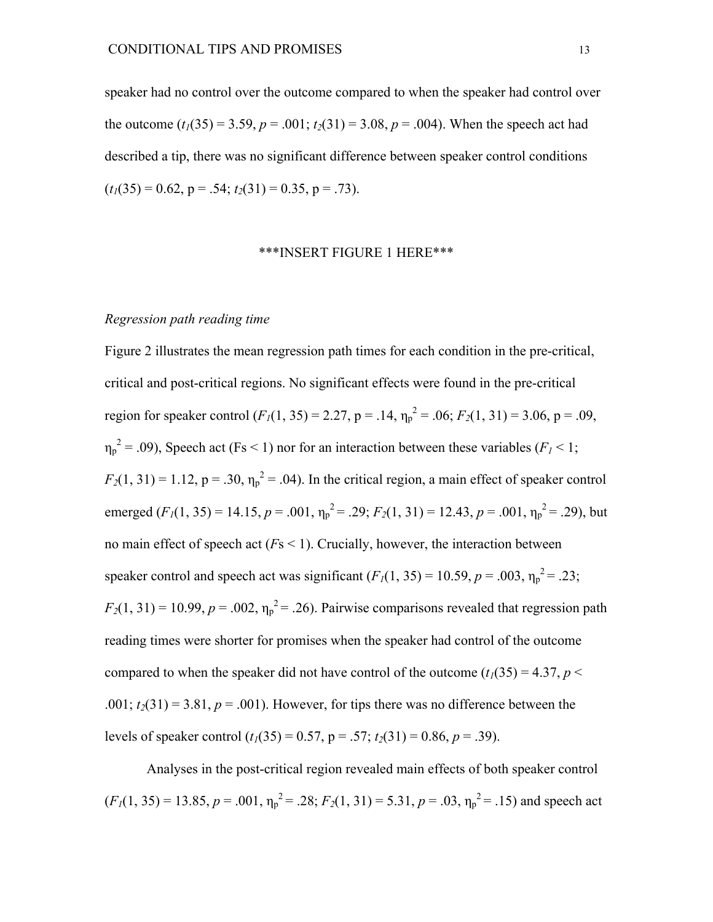speaker had no control over the outcome compared to when the speaker had control over the outcome  $(t_1(35) = 3.59, p = .001; t_2(31) = 3.08, p = .004)$ . When the speech act had described a tip, there was no significant difference between speaker control conditions  $(t_1(35) = 0.62, p = .54; t_2(31) = 0.35, p = .73).$ 

#### \*\*\*INSERT FIGURE 1 HERE\*\*\*

#### *Regression path reading time*

Figure 2 illustrates the mean regression path times for each condition in the pre-critical, critical and post-critical regions. No significant effects were found in the pre-critical region for speaker control  $(F_I(1, 35) = 2.27, p = .14, \eta_p^2 = .06; F_I(1, 31) = 3.06, p = .09,$  $\eta_p^2$  = .09), Speech act (Fs < 1) nor for an interaction between these variables ( $F_I$  < 1;  $F_2(1, 31) = 1.12$ ,  $p = .30$ ,  $\eta_p^2 = .04$ ). In the critical region, a main effect of speaker control emerged  $(F_1(1, 35) = 14.15$ ,  $p = .001$ ,  $\eta_p^2 = .29$ ;  $F_2(1, 31) = 12.43$ ,  $p = .001$ ,  $\eta_p^2 = .29$ ), but no main effect of speech act (*F*s < 1). Crucially, however, the interaction between speaker control and speech act was significant  $(F_I(1, 35) = 10.59, p = .003, \eta_p^2 = .23;$  $F_2(1, 31) = 10.99$ ,  $p = .002$ ,  $\eta_p^2 = .26$ ). Pairwise comparisons revealed that regression path reading times were shorter for promises when the speaker had control of the outcome compared to when the speaker did not have control of the outcome  $(t_1(35) = 4.37, p <$ .001;  $t_2(31) = 3.81$ ,  $p = .001$ ). However, for tips there was no difference between the levels of speaker control  $(t_1(35) = 0.57, p = .57; t_2(31) = 0.86, p = .39)$ .

Analyses in the post-critical region revealed main effects of both speaker control  $(F_1(1, 35) = 13.85, p = .001, \eta_p^2 = .28; F_2(1, 31) = 5.31, p = .03, \eta_p^2 = .15$  and speech act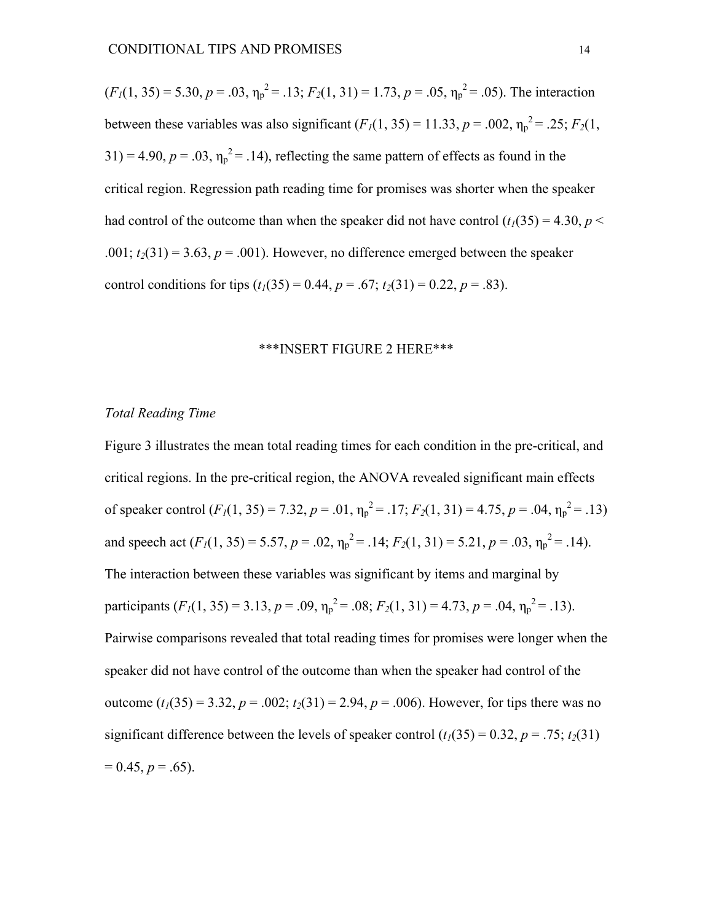$(F_1(1, 35) = 5.30, p = .03, \eta_p^2 = .13; F_2(1, 31) = 1.73, p = .05, \eta_p^2 = .05$ . The interaction between these variables was also significant  $(F_I(1, 35) = 11.33, p = .002, \eta_p^2 = .25; F_2(1,$  $31$ ) = 4.90,  $p = .03$ ,  $\eta_p^2 = .14$ ), reflecting the same pattern of effects as found in the critical region. Regression path reading time for promises was shorter when the speaker had control of the outcome than when the speaker did not have control  $(t_1(35) = 4.30, p <$ .001;  $t_2(31) = 3.63$ ,  $p = .001$ ). However, no difference emerged between the speaker control conditions for tips  $(t_1(35) = 0.44, p = .67; t_2(31) = 0.22, p = .83)$ .

#### \*\*\*INSERT FIGURE 2 HERE\*\*\*

#### *Total Reading Time*

Figure 3 illustrates the mean total reading times for each condition in the pre-critical, and critical regions. In the pre-critical region, the ANOVA revealed significant main effects of speaker control  $(F_I(1, 35) = 7.32, p = .01, \eta_p^2 = .17; F_2(1, 31) = 4.75, p = .04, \eta_p^2 = .13)$ and speech act  $(F_I(1, 35) = 5.57, p = .02, \eta_p^2 = .14; F_I(1, 31) = 5.21, p = .03, \eta_p^2 = .14$ . The interaction between these variables was significant by items and marginal by participants  $(F_I(1, 35) = 3.13, p = .09, \eta_p^2 = .08; F_2(1, 31) = 4.73, p = .04, \eta_p^2 = .13)$ . Pairwise comparisons revealed that total reading times for promises were longer when the speaker did not have control of the outcome than when the speaker had control of the outcome  $(t_1(35) = 3.32, p = .002; t_2(31) = 2.94, p = .006$ . However, for tips there was no significant difference between the levels of speaker control  $(t_1(35) = 0.32, p = .75; t_2(31)$  $= 0.45, p = .65$ ).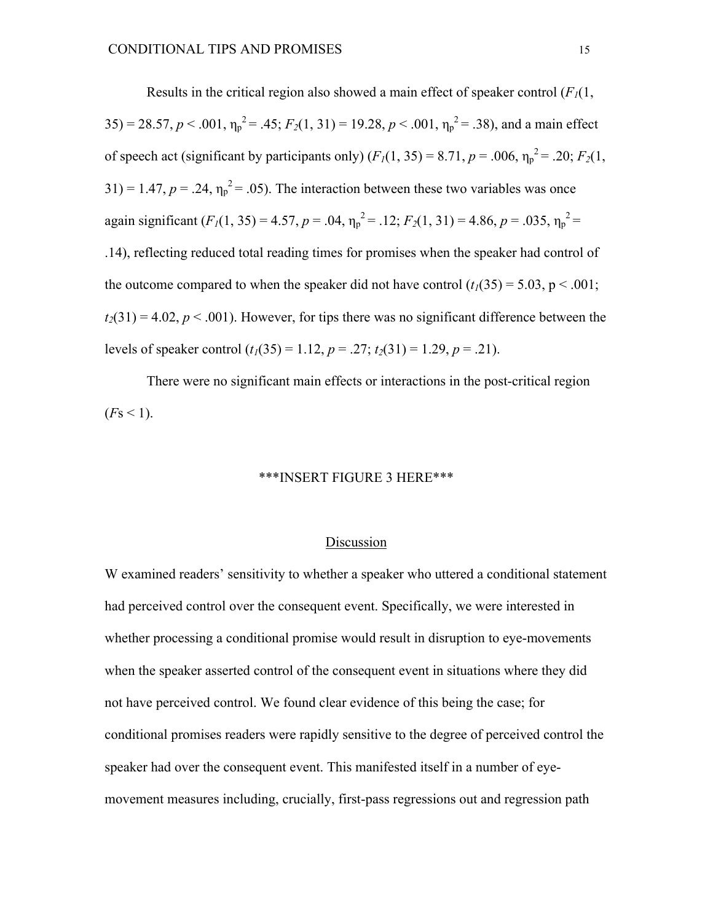Results in the critical region also showed a main effect of speaker control  $(F_1(1,$ 35) = 28.57,  $p < .001$ ,  $\eta_p^2 = .45$ ;  $F_2(1, 31) = 19.28$ ,  $p < .001$ ,  $\eta_p^2 = .38$ ), and a main effect of speech act (significant by participants only)  $(F_1(1, 35) = 8.71, p = .006, \eta_p^2 = .20; F_2(1,$  $31$ ) = 1.47,  $p = 0.24$ ,  $\eta_p^2 = 0.05$ ). The interaction between these two variables was once again significant  $(F_I(1, 35) = 4.57, p = .04, \eta_p^2 = .12; F_I(1, 31) = 4.86, p = .035, \eta_p^2 = .12$ .14), reflecting reduced total reading times for promises when the speaker had control of the outcome compared to when the speaker did not have control  $(t<sub>1</sub>(35) = 5.03, p < .001$ ;  $t_2(31) = 4.02$ ,  $p < .001$ ). However, for tips there was no significant difference between the levels of speaker control  $(t_1(35) = 1.12, p = .27; t_2(31) = 1.29, p = .21)$ .

There were no significant main effects or interactions in the post-critical region  $(Fs < 1)$ .

#### \*\*\*INSERT FIGURE 3 HERE\*\*\*

#### Discussion

W examined readers' sensitivity to whether a speaker who uttered a conditional statement had perceived control over the consequent event. Specifically, we were interested in whether processing a conditional promise would result in disruption to eye-movements when the speaker asserted control of the consequent event in situations where they did not have perceived control. We found clear evidence of this being the case; for conditional promises readers were rapidly sensitive to the degree of perceived control the speaker had over the consequent event. This manifested itself in a number of eyemovement measures including, crucially, first-pass regressions out and regression path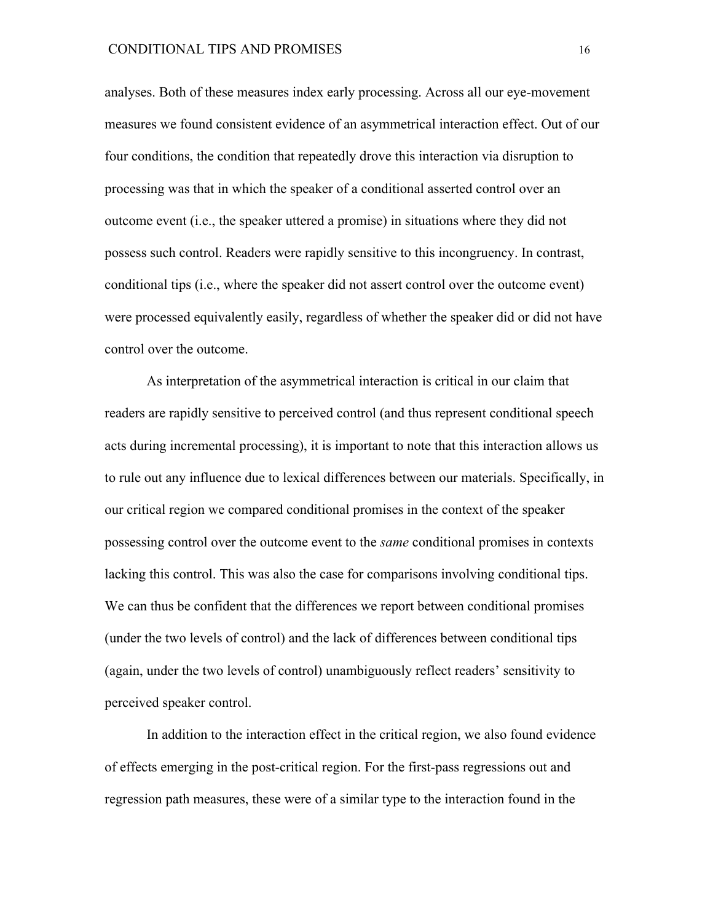analyses. Both of these measures index early processing. Across all our eye-movement measures we found consistent evidence of an asymmetrical interaction effect. Out of our four conditions, the condition that repeatedly drove this interaction via disruption to processing was that in which the speaker of a conditional asserted control over an outcome event (i.e., the speaker uttered a promise) in situations where they did not possess such control. Readers were rapidly sensitive to this incongruency. In contrast, conditional tips (i.e., where the speaker did not assert control over the outcome event) were processed equivalently easily, regardless of whether the speaker did or did not have control over the outcome.

As interpretation of the asymmetrical interaction is critical in our claim that readers are rapidly sensitive to perceived control (and thus represent conditional speech acts during incremental processing), it is important to note that this interaction allows us to rule out any influence due to lexical differences between our materials. Specifically, in our critical region we compared conditional promises in the context of the speaker possessing control over the outcome event to the *same* conditional promises in contexts lacking this control. This was also the case for comparisons involving conditional tips. We can thus be confident that the differences we report between conditional promises (under the two levels of control) and the lack of differences between conditional tips (again, under the two levels of control) unambiguously reflect readers' sensitivity to perceived speaker control.

In addition to the interaction effect in the critical region, we also found evidence of effects emerging in the post-critical region. For the first-pass regressions out and regression path measures, these were of a similar type to the interaction found in the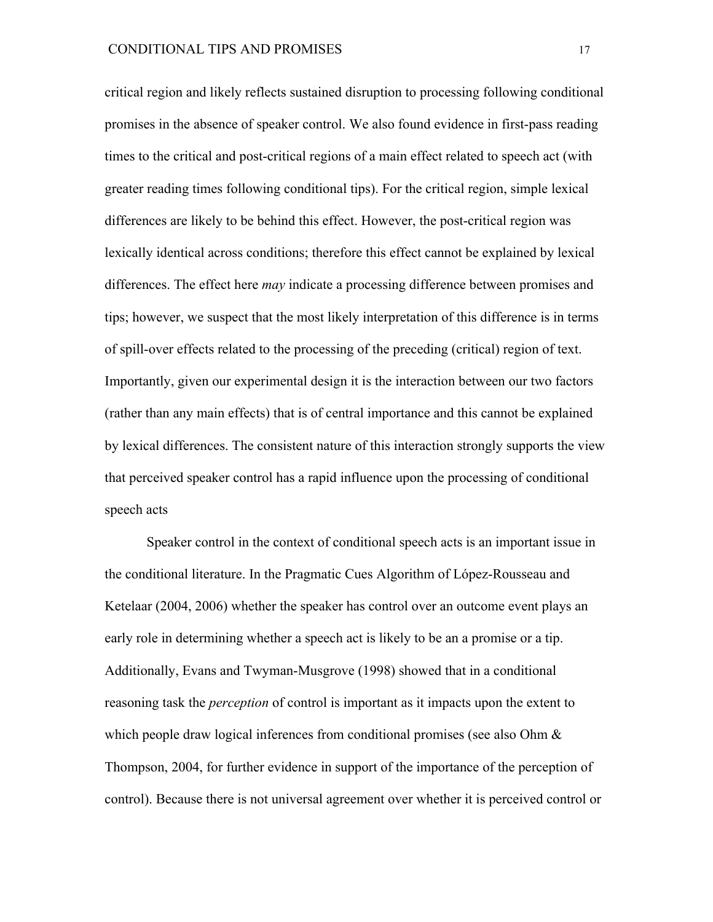critical region and likely reflects sustained disruption to processing following conditional promises in the absence of speaker control. We also found evidence in first-pass reading times to the critical and post-critical regions of a main effect related to speech act (with greater reading times following conditional tips). For the critical region, simple lexical differences are likely to be behind this effect. However, the post-critical region was lexically identical across conditions; therefore this effect cannot be explained by lexical differences. The effect here *may* indicate a processing difference between promises and tips; however, we suspect that the most likely interpretation of this difference is in terms of spill-over effects related to the processing of the preceding (critical) region of text. Importantly, given our experimental design it is the interaction between our two factors (rather than any main effects) that is of central importance and this cannot be explained by lexical differences. The consistent nature of this interaction strongly supports the view that perceived speaker control has a rapid influence upon the processing of conditional speech acts

Speaker control in the context of conditional speech acts is an important issue in the conditional literature. In the Pragmatic Cues Algorithm of López-Rousseau and Ketelaar (2004, 2006) whether the speaker has control over an outcome event plays an early role in determining whether a speech act is likely to be an a promise or a tip. Additionally, Evans and Twyman-Musgrove (1998) showed that in a conditional reasoning task the *perception* of control is important as it impacts upon the extent to which people draw logical inferences from conditional promises (see also Ohm  $\&$ Thompson, 2004, for further evidence in support of the importance of the perception of control). Because there is not universal agreement over whether it is perceived control or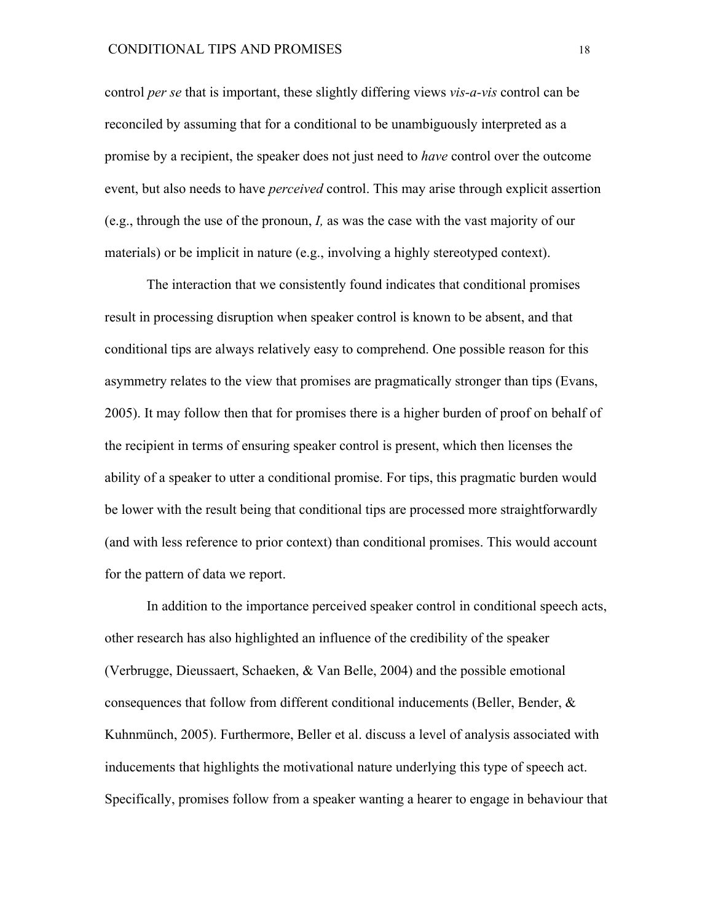#### CONDITIONAL TIPS AND PROMISES 18

control *per se* that is important, these slightly differing views *vis-a-vis* control can be reconciled by assuming that for a conditional to be unambiguously interpreted as a promise by a recipient, the speaker does not just need to *have* control over the outcome event, but also needs to have *perceived* control. This may arise through explicit assertion (e.g., through the use of the pronoun, *I,* as was the case with the vast majority of our materials) or be implicit in nature (e.g., involving a highly stereotyped context).

The interaction that we consistently found indicates that conditional promises result in processing disruption when speaker control is known to be absent, and that conditional tips are always relatively easy to comprehend. One possible reason for this asymmetry relates to the view that promises are pragmatically stronger than tips (Evans, 2005). It may follow then that for promises there is a higher burden of proof on behalf of the recipient in terms of ensuring speaker control is present, which then licenses the ability of a speaker to utter a conditional promise. For tips, this pragmatic burden would be lower with the result being that conditional tips are processed more straightforwardly (and with less reference to prior context) than conditional promises. This would account for the pattern of data we report.

In addition to the importance perceived speaker control in conditional speech acts, other research has also highlighted an influence of the credibility of the speaker (Verbrugge, Dieussaert, Schaeken, & Van Belle, 2004) and the possible emotional consequences that follow from different conditional inducements (Beller, Bender, & Kuhnmünch, 2005). Furthermore, Beller et al. discuss a level of analysis associated with inducements that highlights the motivational nature underlying this type of speech act. Specifically, promises follow from a speaker wanting a hearer to engage in behaviour that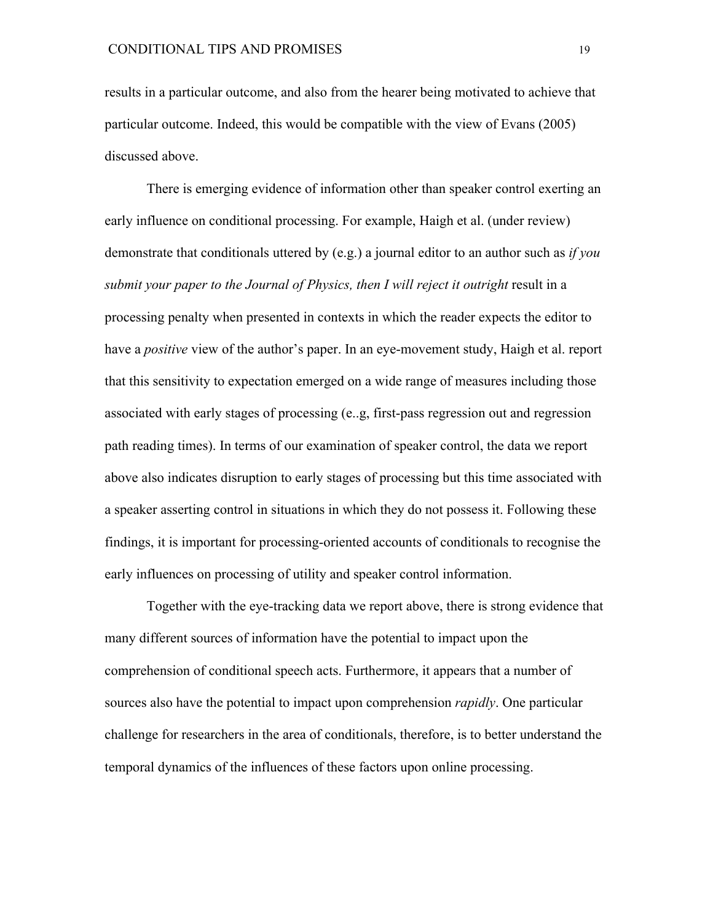results in a particular outcome, and also from the hearer being motivated to achieve that particular outcome. Indeed, this would be compatible with the view of Evans (2005) discussed above.

There is emerging evidence of information other than speaker control exerting an early influence on conditional processing. For example, Haigh et al. (under review) demonstrate that conditionals uttered by (e.g.) a journal editor to an author such as *if you submit your paper to the Journal of Physics, then I will reject it outright result in a* processing penalty when presented in contexts in which the reader expects the editor to have a *positive* view of the author's paper. In an eye-movement study, Haigh et al. report that this sensitivity to expectation emerged on a wide range of measures including those associated with early stages of processing (e..g, first-pass regression out and regression path reading times). In terms of our examination of speaker control, the data we report above also indicates disruption to early stages of processing but this time associated with a speaker asserting control in situations in which they do not possess it. Following these findings, it is important for processing-oriented accounts of conditionals to recognise the early influences on processing of utility and speaker control information.

Together with the eye-tracking data we report above, there is strong evidence that many different sources of information have the potential to impact upon the comprehension of conditional speech acts. Furthermore, it appears that a number of sources also have the potential to impact upon comprehension *rapidly*. One particular challenge for researchers in the area of conditionals, therefore, is to better understand the temporal dynamics of the influences of these factors upon online processing.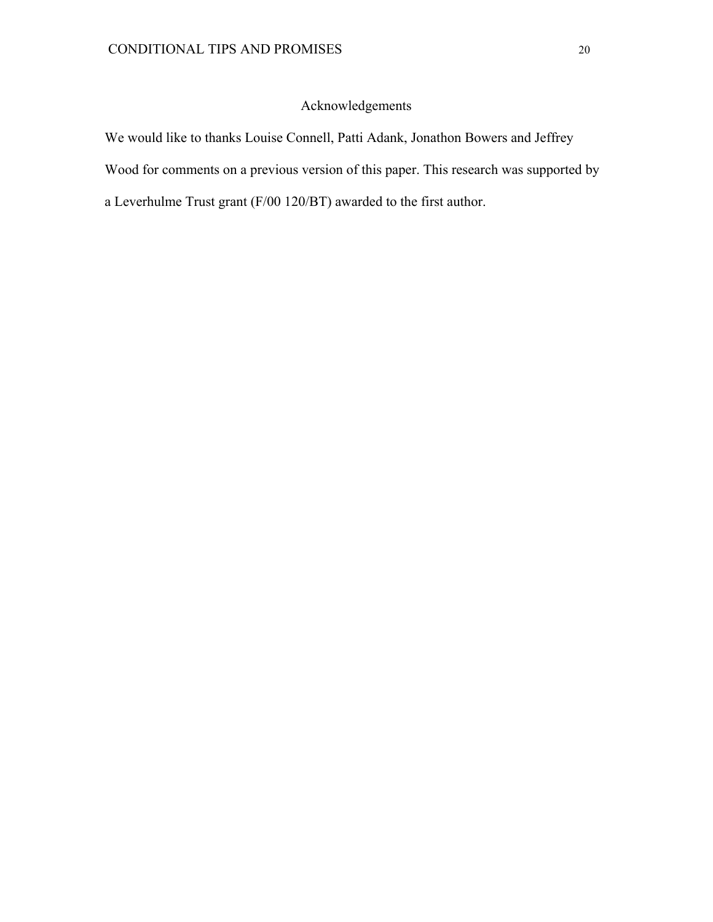# Acknowledgements

We would like to thanks Louise Connell, Patti Adank, Jonathon Bowers and Jeffrey Wood for comments on a previous version of this paper. This research was supported by a Leverhulme Trust grant (F/00 120/BT) awarded to the first author.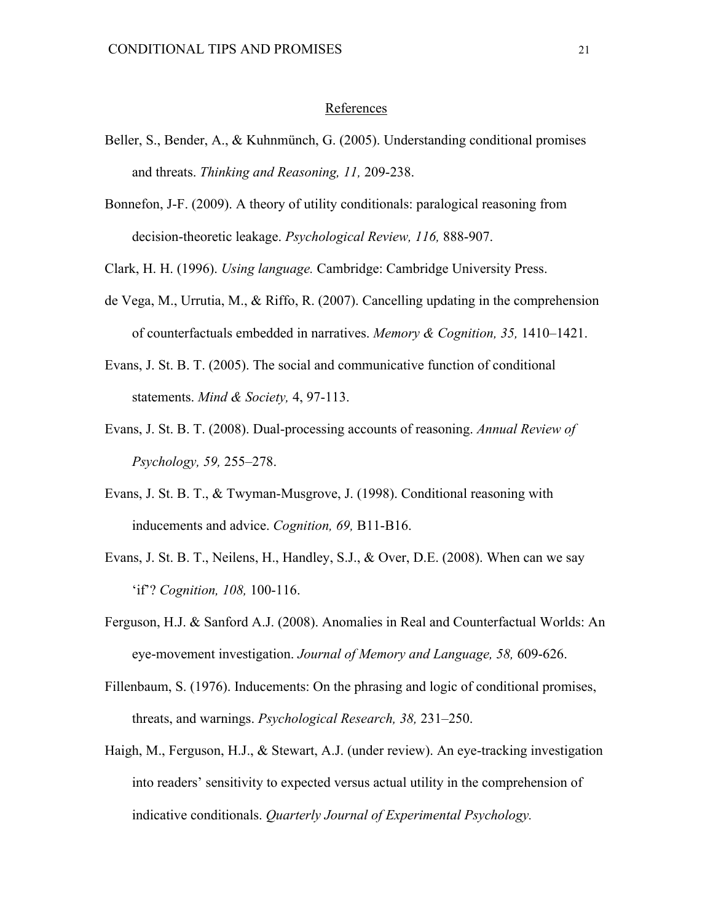#### References

- Beller, S., Bender, A., & Kuhnmünch, G. (2005). Understanding conditional promises and threats. *Thinking and Reasoning, 11,* 209-238.
- Bonnefon, J-F. (2009). A theory of utility conditionals: paralogical reasoning from decision-theoretic leakage. *Psychological Review, 116,* 888-907.

Clark, H. H. (1996). *Using language.* Cambridge: Cambridge University Press.

- de Vega, M., Urrutia, M., & Riffo, R. (2007). Cancelling updating in the comprehension of counterfactuals embedded in narratives. *Memory & Cognition, 35,* 1410–1421.
- Evans, J. St. B. T. (2005). The social and communicative function of conditional statements. *Mind & Society,* 4, 97-113.
- Evans, J. St. B. T. (2008). Dual-processing accounts of reasoning. *Annual Review of Psychology, 59,* 255–278.
- Evans, J. St. B. T., & Twyman-Musgrove, J. (1998). Conditional reasoning with inducements and advice. *Cognition, 69,* B11-B16.
- Evans, J. St. B. T., Neilens, H., Handley, S.J., & Over, D.E. (2008). When can we say 'if'? *Cognition, 108,* 100-116.
- Ferguson, H.J. & Sanford A.J. (2008). Anomalies in Real and Counterfactual Worlds: An eye-movement investigation. *Journal of Memory and Language, 58,* 609-626.
- Fillenbaum, S. (1976). Inducements: On the phrasing and logic of conditional promises, threats, and warnings. *Psychological Research, 38,* 231–250.
- Haigh, M., Ferguson, H.J., & Stewart, A.J. (under review). An eye-tracking investigation into readers' sensitivity to expected versus actual utility in the comprehension of indicative conditionals. *Quarterly Journal of Experimental Psychology.*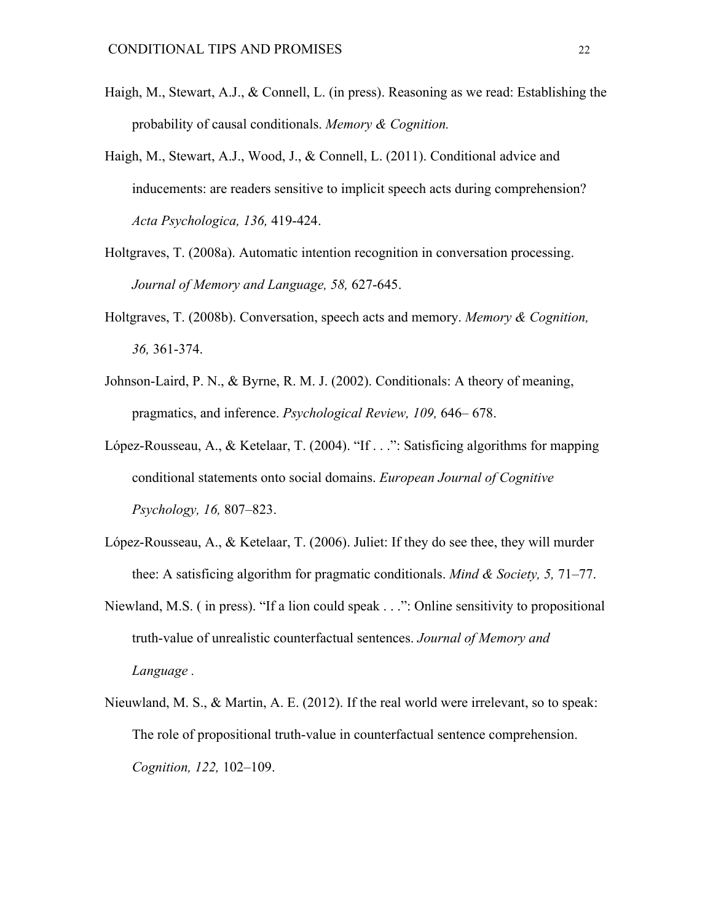- Haigh, M., Stewart, A.J., & Connell, L. (in press). Reasoning as we read: Establishing the probability of causal conditionals. *Memory & Cognition.*
- Haigh, M., Stewart, A.J., Wood, J., & Connell, L. (2011). Conditional advice and inducements: are readers sensitive to implicit speech acts during comprehension? *Acta Psychologica, 136,* 419-424.
- Holtgraves, T. (2008a). Automatic intention recognition in conversation processing. *Journal of Memory and Language, 58,* 627-645.
- Holtgraves, T. (2008b). Conversation, speech acts and memory. *Memory & Cognition, 36,* 361-374.
- Johnson-Laird, P. N., & Byrne, R. M. J. (2002). Conditionals: A theory of meaning, pragmatics, and inference. *Psychological Review, 109,* 646– 678.
- López-Rousseau, A., & Ketelaar, T. (2004). "If . . .": Satisficing algorithms for mapping conditional statements onto social domains. *European Journal of Cognitive Psychology, 16,* 807–823.
- López-Rousseau, A., & Ketelaar, T. (2006). Juliet: If they do see thee, they will murder thee: A satisficing algorithm for pragmatic conditionals. *Mind & Society, 5,* 71–77.
- Niewland, M.S. ( in press). "If a lion could speak . . .": Online sensitivity to propositional truth-value of unrealistic counterfactual sentences. *Journal of Memory and Language .*
- Nieuwland, M. S., & Martin, A. E. (2012). If the real world were irrelevant, so to speak: The role of propositional truth-value in counterfactual sentence comprehension. *Cognition, 122,* 102–109.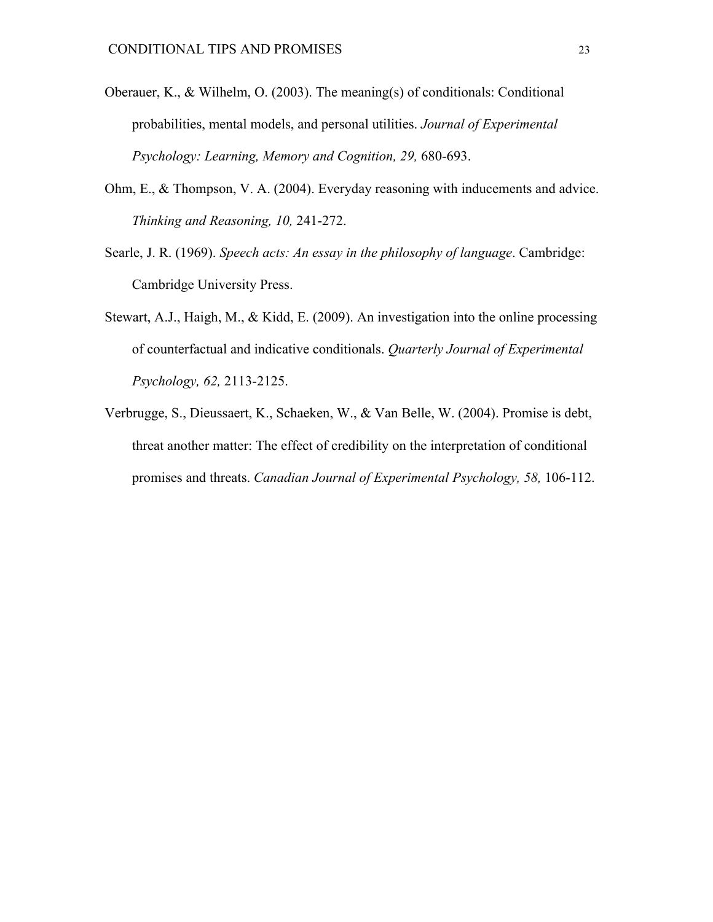- Oberauer, K., & Wilhelm, O. (2003). The meaning(s) of conditionals: Conditional probabilities, mental models, and personal utilities. *Journal of Experimental Psychology: Learning, Memory and Cognition, 29,* 680-693.
- Ohm, E., & Thompson, V. A. (2004). Everyday reasoning with inducements and advice. *Thinking and Reasoning, 10,* 241-272.
- Searle, J. R. (1969). *Speech acts: An essay in the philosophy of language*. Cambridge: Cambridge University Press.
- Stewart, A.J., Haigh, M., & Kidd, E. (2009). An investigation into the online processing of counterfactual and indicative conditionals. *Quarterly Journal of Experimental Psychology, 62,* 2113-2125.
- Verbrugge, S., Dieussaert, K., Schaeken, W., & Van Belle, W. (2004). Promise is debt, threat another matter: The effect of credibility on the interpretation of conditional promises and threats. *Canadian Journal of Experimental Psychology, 58,* 106-112.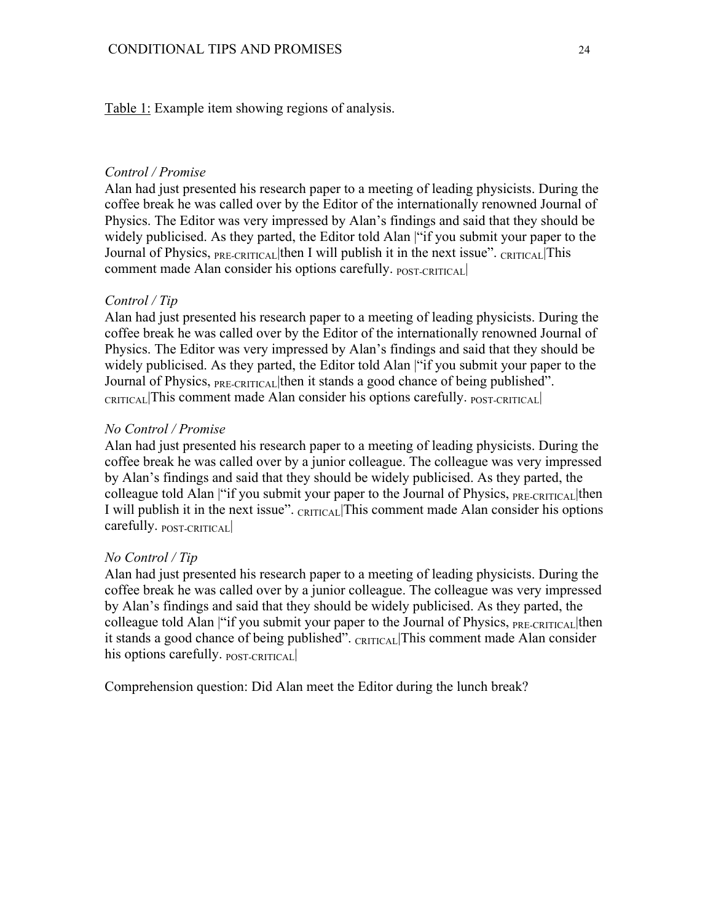Table 1: Example item showing regions of analysis.

## *Control / Promise*

Alan had just presented his research paper to a meeting of leading physicists. During the coffee break he was called over by the Editor of the internationally renowned Journal of Physics. The Editor was very impressed by Alan's findings and said that they should be widely publicised. As they parted, the Editor told Alan "if you submit your paper to the Journal of Physics,  $_{PRE-CRITICAL}$  then I will publish it in the next issue".  $_{CRITICAL}$  This comment made Alan consider his options carefully. POST-CRITICAL

#### *Control / Tip*

Alan had just presented his research paper to a meeting of leading physicists. During the coffee break he was called over by the Editor of the internationally renowned Journal of Physics. The Editor was very impressed by Alan's findings and said that they should be widely publicised. As they parted, the Editor told Alan |"if you submit your paper to the Journal of Physics, PRE-CRITICAL then it stands a good chance of being published". CRITICAL|This comment made Alan consider his options carefully. POST-CRITICAL|

#### *No Control / Promise*

Alan had just presented his research paper to a meeting of leading physicists. During the coffee break he was called over by a junior colleague. The colleague was very impressed by Alan's findings and said that they should be widely publicised. As they parted, the colleague told Alan  $\lvert$ "if you submit your paper to the Journal of Physics,  $_{PRE-CRITICAL}$  then I will publish it in the next issue". CRITICAL This comment made Alan consider his options  $carefully.$  POST-CRITICAL

## *No Control / Tip*

Alan had just presented his research paper to a meeting of leading physicists. During the coffee break he was called over by a junior colleague. The colleague was very impressed by Alan's findings and said that they should be widely publicised. As they parted, the colleague told Alan  $\lvert$ "if you submit your paper to the Journal of Physics,  $\lvert_{PRECRITICAL} \rvert$  then it stands a good chance of being published". CRITICAL|This comment made Alan consider his options carefully. POST-CRITICAL

Comprehension question: Did Alan meet the Editor during the lunch break?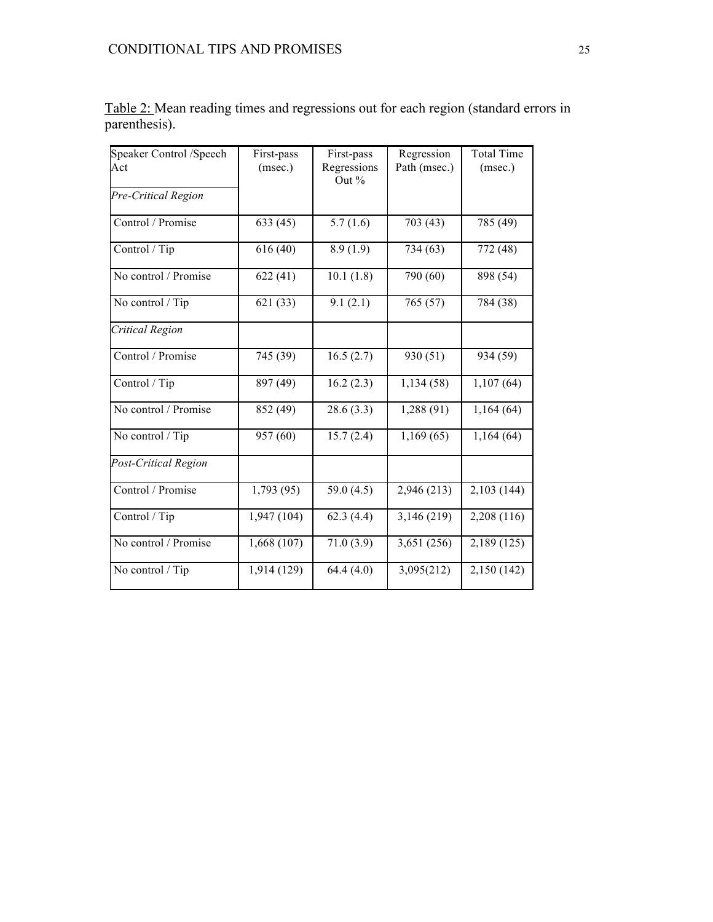| Table 2: Mean reading times and regressions out for each region (standard errors in |  |  |
|-------------------------------------------------------------------------------------|--|--|
| parenthesis).                                                                       |  |  |

| Speaker Control /Speech<br>Act | First-pass<br>(msec.) | First-pass<br>Regressions<br>Out $%$ | Regression<br>Path (msec.) | <b>Total Time</b><br>(msec.) |
|--------------------------------|-----------------------|--------------------------------------|----------------------------|------------------------------|
| Pre-Critical Region            |                       |                                      |                            |                              |
| Control / Promise              | 633 (45)              | 5.7(1.6)                             | 703 (43)                   | 785 (49)                     |
| Control / Tip                  | 616(40)               | 8.9(1.9)                             | 734 (63)                   | 772 (48)                     |
| No control / Promise           | 622(41)               | 10.1(1.8)                            | 790 (60)                   | 898 (54)                     |
| No control / Tip               | 621 (33)              | 9.1(2.1)                             | 765 (57)                   | 784 (38)                     |
| Critical Region                |                       |                                      |                            |                              |
| Control / Promise              | 745 (39)              | 16.5(2.7)                            | 930 (51)                   | 934 (59)                     |
| Control / Tip                  | 897 (49)              | 16.2(2.3)                            | 1,134 (58)                 | 1,107(64)                    |
| No control / Promise           | 852 (49)              | 28.6(3.3)                            | 1,288(91)                  | 1,164(64)                    |
| No control / Tip               | 957 (60)              | 15.7(2.4)                            | 1,169(65)                  | 1,164(64)                    |
| Post-Critical Region           |                       |                                      |                            |                              |
| Control / Promise              | 1,793 (95)            | 59.0 $(4.5)$                         | 2,946 (213)                | 2,103 (144)                  |
| Control / Tip                  | 1,947 (104)           | 62.3(4.4)                            | 3,146 (219)                | 2,208 (116)                  |
| No control / Promise           | 1,668 (107)           | 71.0(3.9)                            | 3,651 (256)                | 2,189 (125)                  |
| No control / Tip               | 1,914 (129)           | 64.4(4.0)                            | 3,095(212)                 | 2,150 (142)                  |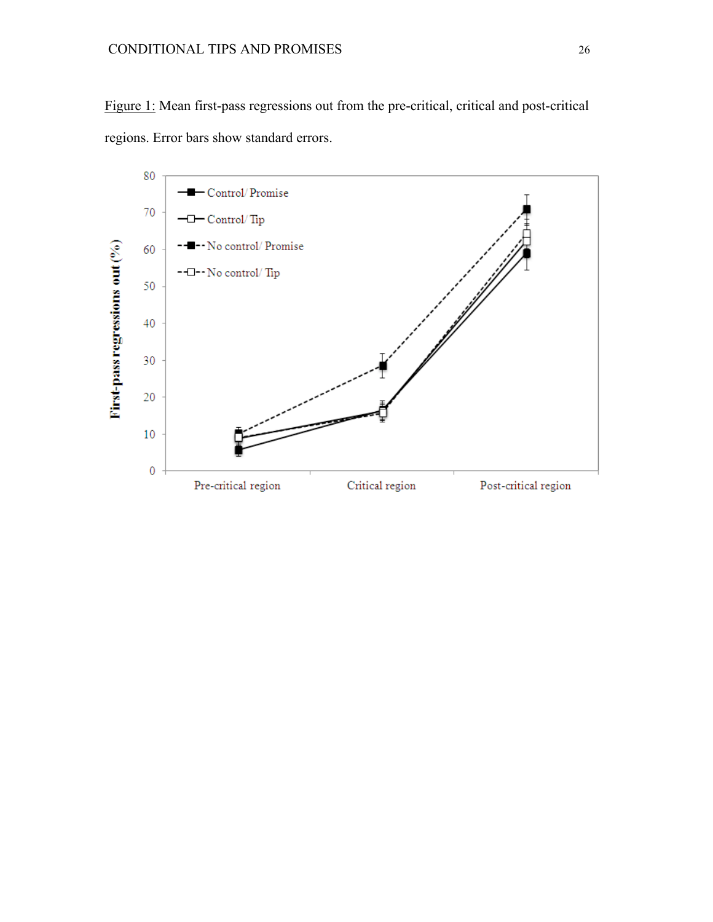

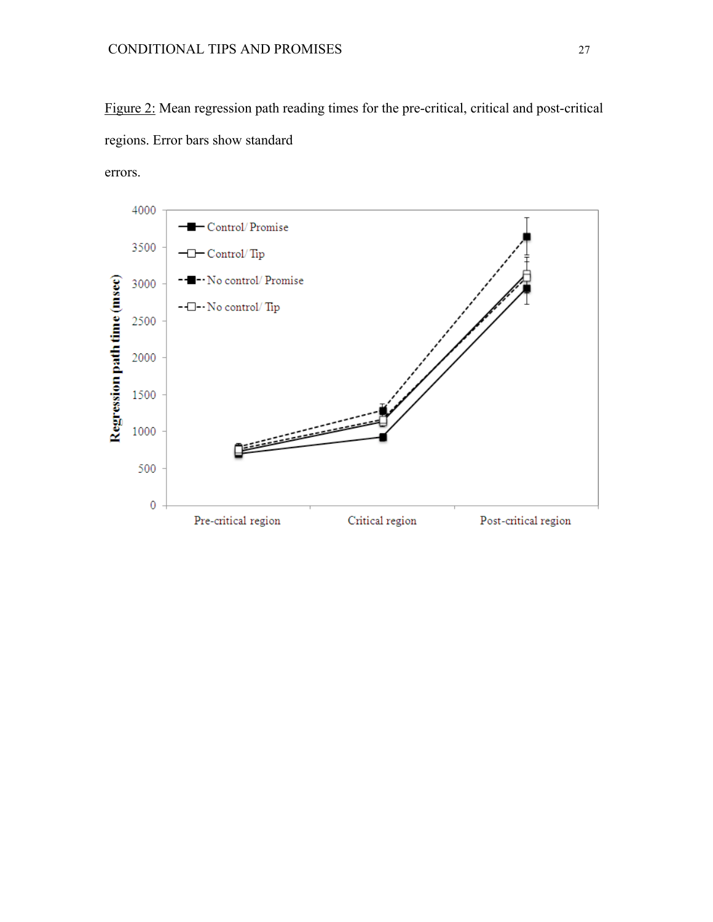Figure 2: Mean regression path reading times for the pre-critical, critical and post-critical regions. Error bars show standard

errors.

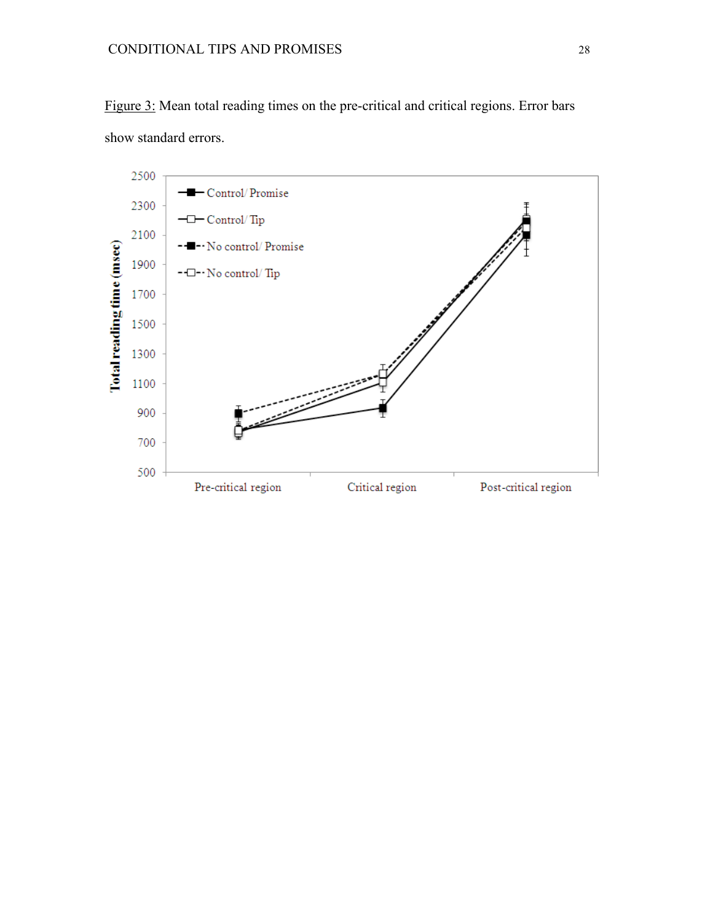

Figure 3: Mean total reading times on the pre-critical and critical regions. Error bars show standard errors.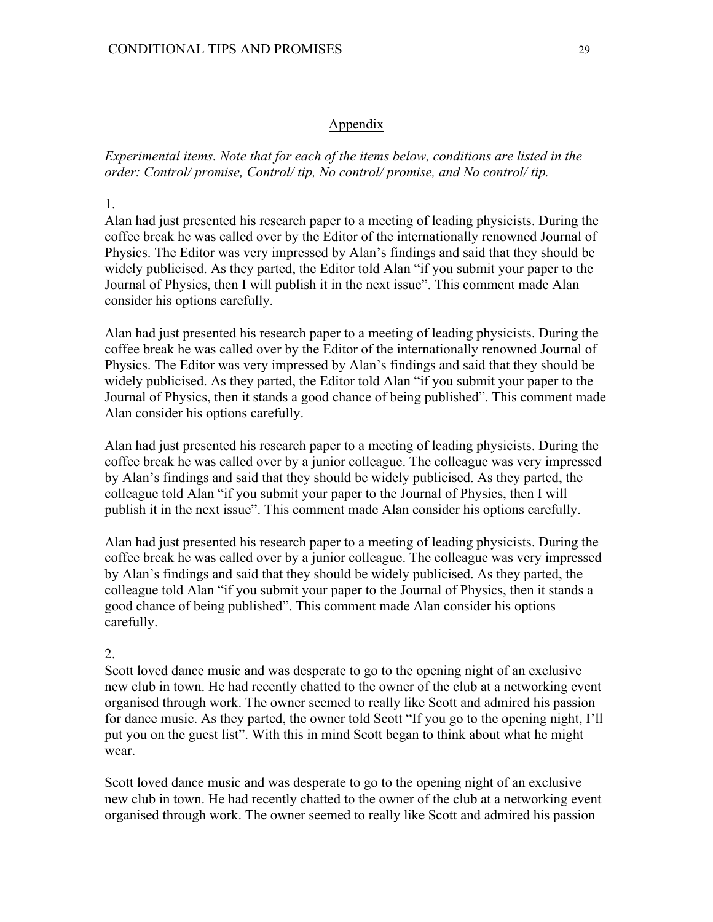# Appendix

# *Experimental items. Note that for each of the items below, conditions are listed in the order: Control/ promise, Control/ tip, No control/ promise, and No control/ tip.*

#### 1.

Alan had just presented his research paper to a meeting of leading physicists. During the coffee break he was called over by the Editor of the internationally renowned Journal of Physics. The Editor was very impressed by Alan's findings and said that they should be widely publicised. As they parted, the Editor told Alan "if you submit your paper to the Journal of Physics, then I will publish it in the next issue". This comment made Alan consider his options carefully.

Alan had just presented his research paper to a meeting of leading physicists. During the coffee break he was called over by the Editor of the internationally renowned Journal of Physics. The Editor was very impressed by Alan's findings and said that they should be widely publicised. As they parted, the Editor told Alan "if you submit your paper to the Journal of Physics, then it stands a good chance of being published". This comment made Alan consider his options carefully.

Alan had just presented his research paper to a meeting of leading physicists. During the coffee break he was called over by a junior colleague. The colleague was very impressed by Alan's findings and said that they should be widely publicised. As they parted, the colleague told Alan "if you submit your paper to the Journal of Physics, then I will publish it in the next issue". This comment made Alan consider his options carefully.

Alan had just presented his research paper to a meeting of leading physicists. During the coffee break he was called over by a junior colleague. The colleague was very impressed by Alan's findings and said that they should be widely publicised. As they parted, the colleague told Alan "if you submit your paper to the Journal of Physics, then it stands a good chance of being published". This comment made Alan consider his options carefully.

#### 2.

Scott loved dance music and was desperate to go to the opening night of an exclusive new club in town. He had recently chatted to the owner of the club at a networking event organised through work. The owner seemed to really like Scott and admired his passion for dance music. As they parted, the owner told Scott "If you go to the opening night, I'll put you on the guest list". With this in mind Scott began to think about what he might wear.

Scott loved dance music and was desperate to go to the opening night of an exclusive new club in town. He had recently chatted to the owner of the club at a networking event organised through work. The owner seemed to really like Scott and admired his passion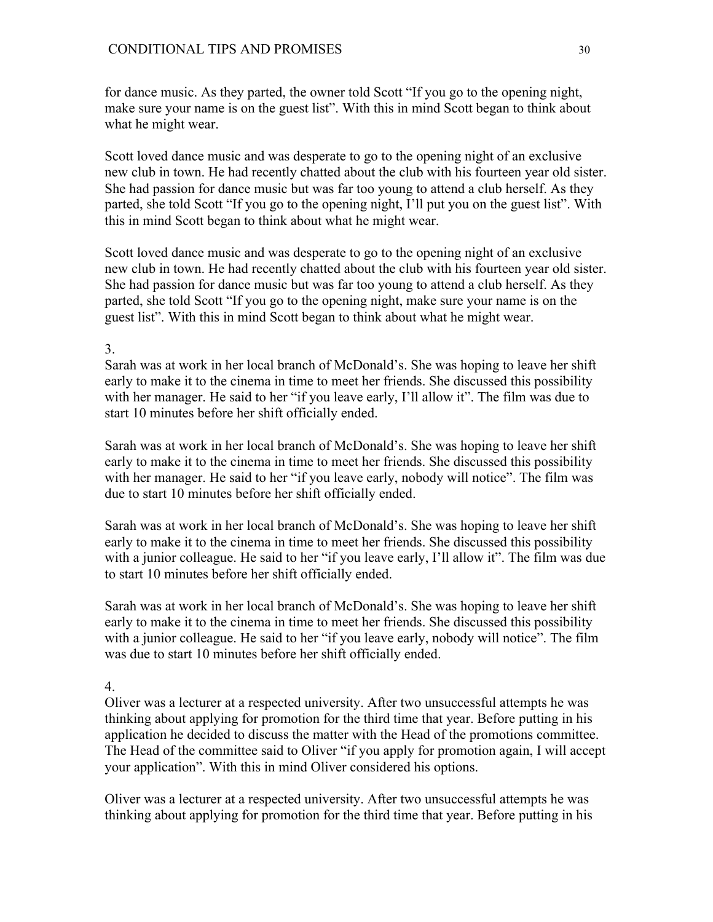for dance music. As they parted, the owner told Scott "If you go to the opening night, make sure your name is on the guest list". With this in mind Scott began to think about what he might wear.

Scott loved dance music and was desperate to go to the opening night of an exclusive new club in town. He had recently chatted about the club with his fourteen year old sister. She had passion for dance music but was far too young to attend a club herself. As they parted, she told Scott "If you go to the opening night, I'll put you on the guest list". With this in mind Scott began to think about what he might wear.

Scott loved dance music and was desperate to go to the opening night of an exclusive new club in town. He had recently chatted about the club with his fourteen year old sister. She had passion for dance music but was far too young to attend a club herself. As they parted, she told Scott "If you go to the opening night, make sure your name is on the guest list". With this in mind Scott began to think about what he might wear.

# 3.

Sarah was at work in her local branch of McDonald's. She was hoping to leave her shift early to make it to the cinema in time to meet her friends. She discussed this possibility with her manager. He said to her "if you leave early, I'll allow it". The film was due to start 10 minutes before her shift officially ended.

Sarah was at work in her local branch of McDonald's. She was hoping to leave her shift early to make it to the cinema in time to meet her friends. She discussed this possibility with her manager. He said to her "if you leave early, nobody will notice". The film was due to start 10 minutes before her shift officially ended.

Sarah was at work in her local branch of McDonald's. She was hoping to leave her shift early to make it to the cinema in time to meet her friends. She discussed this possibility with a junior colleague. He said to her "if you leave early, I'll allow it". The film was due to start 10 minutes before her shift officially ended.

Sarah was at work in her local branch of McDonald's. She was hoping to leave her shift early to make it to the cinema in time to meet her friends. She discussed this possibility with a junior colleague. He said to her "if you leave early, nobody will notice". The film was due to start 10 minutes before her shift officially ended.

# 4.

Oliver was a lecturer at a respected university. After two unsuccessful attempts he was thinking about applying for promotion for the third time that year. Before putting in his application he decided to discuss the matter with the Head of the promotions committee. The Head of the committee said to Oliver "if you apply for promotion again, I will accept your application". With this in mind Oliver considered his options.

Oliver was a lecturer at a respected university. After two unsuccessful attempts he was thinking about applying for promotion for the third time that year. Before putting in his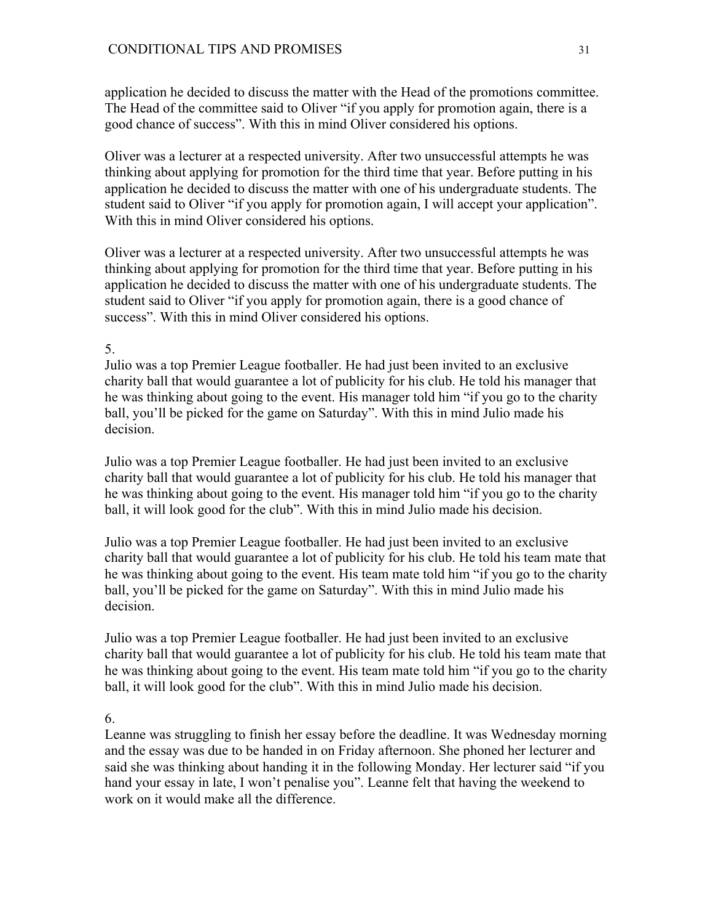application he decided to discuss the matter with the Head of the promotions committee. The Head of the committee said to Oliver "if you apply for promotion again, there is a good chance of success". With this in mind Oliver considered his options.

Oliver was a lecturer at a respected university. After two unsuccessful attempts he was thinking about applying for promotion for the third time that year. Before putting in his application he decided to discuss the matter with one of his undergraduate students. The student said to Oliver "if you apply for promotion again, I will accept your application". With this in mind Oliver considered his options.

Oliver was a lecturer at a respected university. After two unsuccessful attempts he was thinking about applying for promotion for the third time that year. Before putting in his application he decided to discuss the matter with one of his undergraduate students. The student said to Oliver "if you apply for promotion again, there is a good chance of success". With this in mind Oliver considered his options.

# 5.

Julio was a top Premier League footballer. He had just been invited to an exclusive charity ball that would guarantee a lot of publicity for his club. He told his manager that he was thinking about going to the event. His manager told him "if you go to the charity ball, you'll be picked for the game on Saturday". With this in mind Julio made his decision.

Julio was a top Premier League footballer. He had just been invited to an exclusive charity ball that would guarantee a lot of publicity for his club. He told his manager that he was thinking about going to the event. His manager told him "if you go to the charity ball, it will look good for the club". With this in mind Julio made his decision.

Julio was a top Premier League footballer. He had just been invited to an exclusive charity ball that would guarantee a lot of publicity for his club. He told his team mate that he was thinking about going to the event. His team mate told him "if you go to the charity ball, you'll be picked for the game on Saturday". With this in mind Julio made his decision.

Julio was a top Premier League footballer. He had just been invited to an exclusive charity ball that would guarantee a lot of publicity for his club. He told his team mate that he was thinking about going to the event. His team mate told him "if you go to the charity ball, it will look good for the club". With this in mind Julio made his decision.

# 6.

Leanne was struggling to finish her essay before the deadline. It was Wednesday morning and the essay was due to be handed in on Friday afternoon. She phoned her lecturer and said she was thinking about handing it in the following Monday. Her lecturer said "if you hand your essay in late, I won't penalise you". Leanne felt that having the weekend to work on it would make all the difference.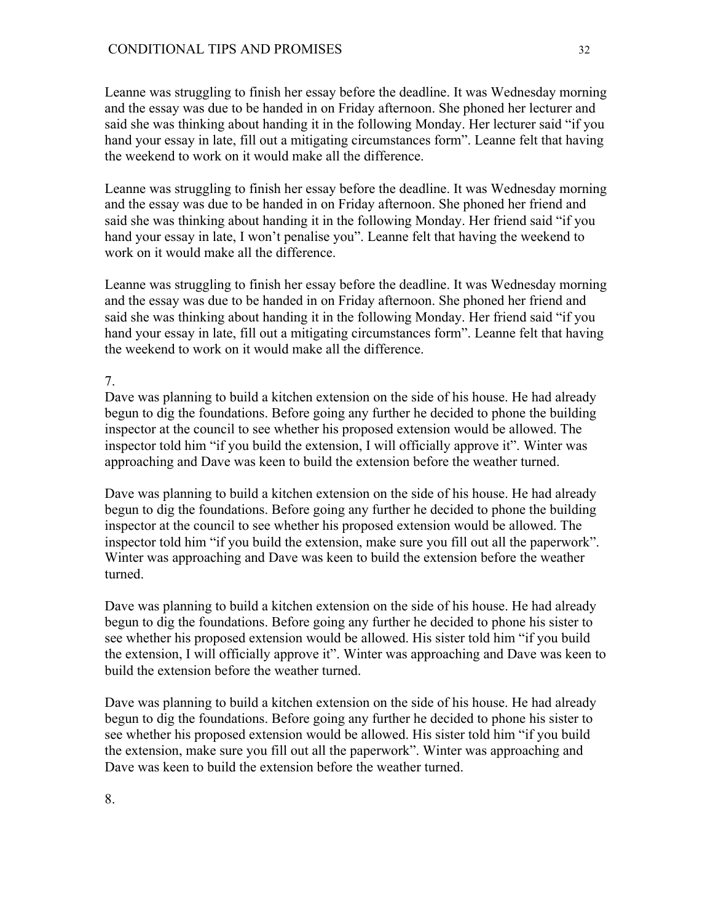Leanne was struggling to finish her essay before the deadline. It was Wednesday morning and the essay was due to be handed in on Friday afternoon. She phoned her lecturer and said she was thinking about handing it in the following Monday. Her lecturer said "if you hand your essay in late, fill out a mitigating circumstances form". Leanne felt that having the weekend to work on it would make all the difference.

Leanne was struggling to finish her essay before the deadline. It was Wednesday morning and the essay was due to be handed in on Friday afternoon. She phoned her friend and said she was thinking about handing it in the following Monday. Her friend said "if you hand your essay in late, I won't penalise you". Leanne felt that having the weekend to work on it would make all the difference.

Leanne was struggling to finish her essay before the deadline. It was Wednesday morning and the essay was due to be handed in on Friday afternoon. She phoned her friend and said she was thinking about handing it in the following Monday. Her friend said "if you hand your essay in late, fill out a mitigating circumstances form". Leanne felt that having the weekend to work on it would make all the difference.

# 7.

Dave was planning to build a kitchen extension on the side of his house. He had already begun to dig the foundations. Before going any further he decided to phone the building inspector at the council to see whether his proposed extension would be allowed. The inspector told him "if you build the extension, I will officially approve it". Winter was approaching and Dave was keen to build the extension before the weather turned.

Dave was planning to build a kitchen extension on the side of his house. He had already begun to dig the foundations. Before going any further he decided to phone the building inspector at the council to see whether his proposed extension would be allowed. The inspector told him "if you build the extension, make sure you fill out all the paperwork". Winter was approaching and Dave was keen to build the extension before the weather turned.

Dave was planning to build a kitchen extension on the side of his house. He had already begun to dig the foundations. Before going any further he decided to phone his sister to see whether his proposed extension would be allowed. His sister told him "if you build the extension, I will officially approve it". Winter was approaching and Dave was keen to build the extension before the weather turned.

Dave was planning to build a kitchen extension on the side of his house. He had already begun to dig the foundations. Before going any further he decided to phone his sister to see whether his proposed extension would be allowed. His sister told him "if you build the extension, make sure you fill out all the paperwork". Winter was approaching and Dave was keen to build the extension before the weather turned.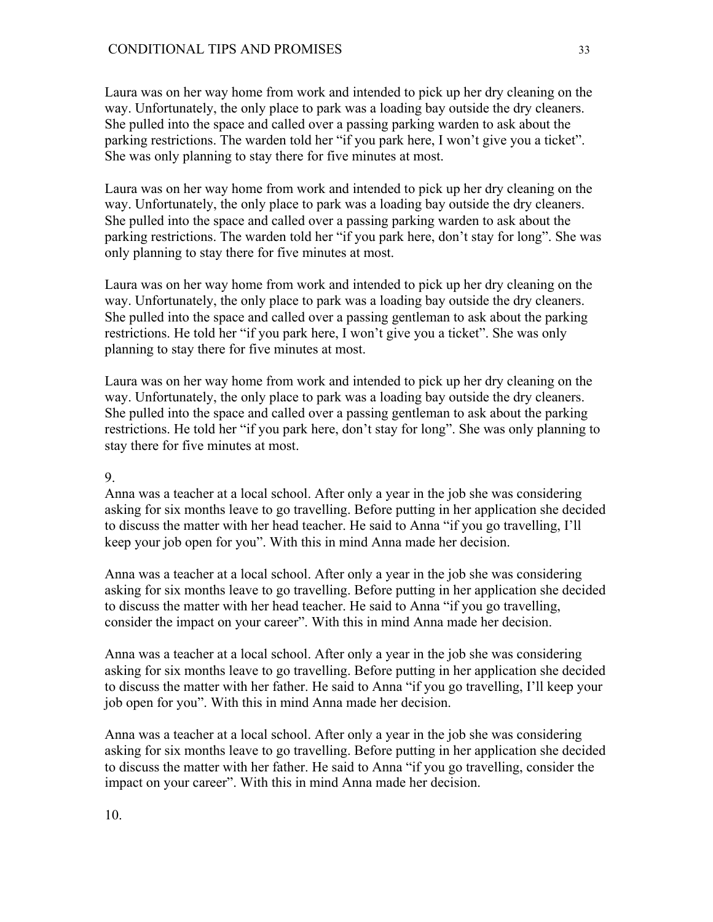Laura was on her way home from work and intended to pick up her dry cleaning on the way. Unfortunately, the only place to park was a loading bay outside the dry cleaners. She pulled into the space and called over a passing parking warden to ask about the parking restrictions. The warden told her "if you park here, I won't give you a ticket". She was only planning to stay there for five minutes at most.

Laura was on her way home from work and intended to pick up her dry cleaning on the way. Unfortunately, the only place to park was a loading bay outside the dry cleaners. She pulled into the space and called over a passing parking warden to ask about the parking restrictions. The warden told her "if you park here, don't stay for long". She was only planning to stay there for five minutes at most.

Laura was on her way home from work and intended to pick up her dry cleaning on the way. Unfortunately, the only place to park was a loading bay outside the dry cleaners. She pulled into the space and called over a passing gentleman to ask about the parking restrictions. He told her "if you park here, I won't give you a ticket". She was only planning to stay there for five minutes at most.

Laura was on her way home from work and intended to pick up her dry cleaning on the way. Unfortunately, the only place to park was a loading bay outside the dry cleaners. She pulled into the space and called over a passing gentleman to ask about the parking restrictions. He told her "if you park here, don't stay for long". She was only planning to stay there for five minutes at most.

# 9.

Anna was a teacher at a local school. After only a year in the job she was considering asking for six months leave to go travelling. Before putting in her application she decided to discuss the matter with her head teacher. He said to Anna "if you go travelling, I'll keep your job open for you". With this in mind Anna made her decision.

Anna was a teacher at a local school. After only a year in the job she was considering asking for six months leave to go travelling. Before putting in her application she decided to discuss the matter with her head teacher. He said to Anna "if you go travelling, consider the impact on your career". With this in mind Anna made her decision.

Anna was a teacher at a local school. After only a year in the job she was considering asking for six months leave to go travelling. Before putting in her application she decided to discuss the matter with her father. He said to Anna "if you go travelling, I'll keep your job open for you". With this in mind Anna made her decision.

Anna was a teacher at a local school. After only a year in the job she was considering asking for six months leave to go travelling. Before putting in her application she decided to discuss the matter with her father. He said to Anna "if you go travelling, consider the impact on your career". With this in mind Anna made her decision.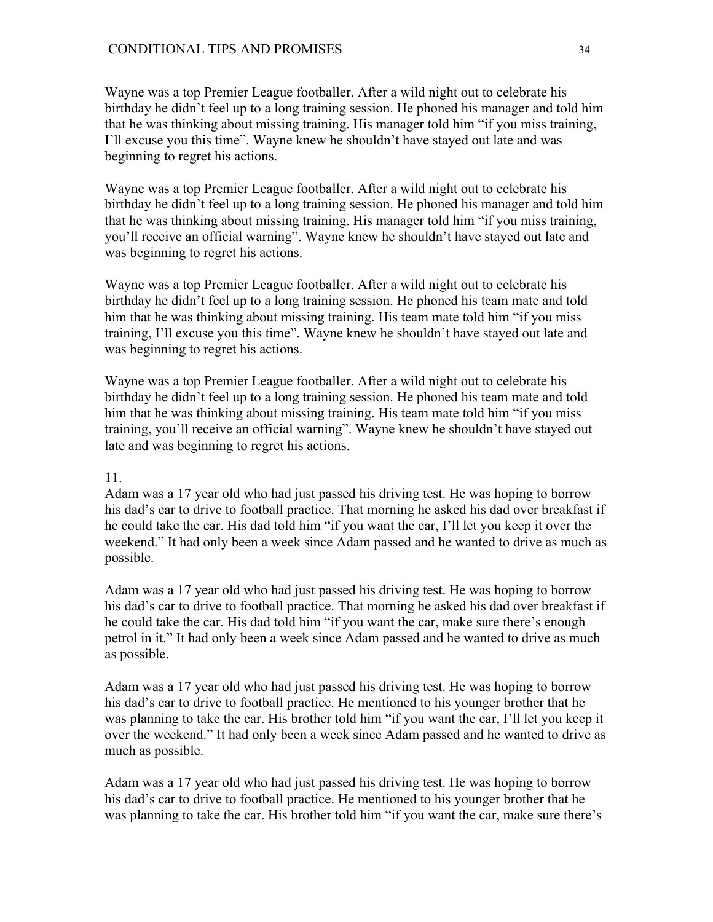Wayne was a top Premier League footballer. After a wild night out to celebrate his birthday he didn't feel up to a long training session. He phoned his manager and told him that he was thinking about missing training. His manager told him "if you miss training, I'll excuse you this time". Wayne knew he shouldn't have stayed out late and was beginning to regret his actions.

Wayne was a top Premier League footballer. After a wild night out to celebrate his birthday he didn't feel up to a long training session. He phoned his manager and told him that he was thinking about missing training. His manager told him "if you miss training, you'll receive an official warning". Wayne knew he shouldn't have stayed out late and was beginning to regret his actions.

Wayne was a top Premier League footballer. After a wild night out to celebrate his birthday he didn't feel up to a long training session. He phoned his team mate and told him that he was thinking about missing training. His team mate told him "if you miss training, I'll excuse you this time". Wayne knew he shouldn't have stayed out late and was beginning to regret his actions.

Wayne was a top Premier League footballer. After a wild night out to celebrate his birthday he didn't feel up to a long training session. He phoned his team mate and told him that he was thinking about missing training. His team mate told him "if you miss training, you'll receive an official warning". Wayne knew he shouldn't have stayed out late and was beginning to regret his actions.

# 11.

Adam was a 17 year old who had just passed his driving test. He was hoping to borrow his dad's car to drive to football practice. That morning he asked his dad over breakfast if he could take the car. His dad told him "if you want the car, I'll let you keep it over the weekend." It had only been a week since Adam passed and he wanted to drive as much as possible.

Adam was a 17 year old who had just passed his driving test. He was hoping to borrow his dad's car to drive to football practice. That morning he asked his dad over breakfast if he could take the car. His dad told him "if you want the car, make sure there's enough petrol in it." It had only been a week since Adam passed and he wanted to drive as much as possible.

Adam was a 17 year old who had just passed his driving test. He was hoping to borrow his dad's car to drive to football practice. He mentioned to his younger brother that he was planning to take the car. His brother told him "if you want the car, I'll let you keep it over the weekend." It had only been a week since Adam passed and he wanted to drive as much as possible.

Adam was a 17 year old who had just passed his driving test. He was hoping to borrow his dad's car to drive to football practice. He mentioned to his younger brother that he was planning to take the car. His brother told him "if you want the car, make sure there's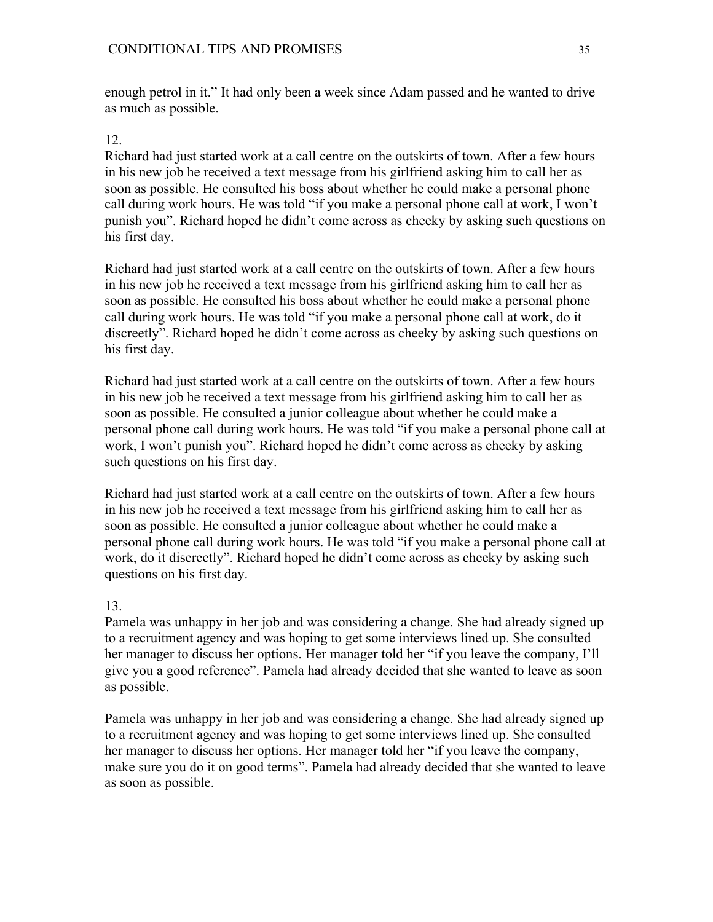enough petrol in it." It had only been a week since Adam passed and he wanted to drive as much as possible.

# 12.

Richard had just started work at a call centre on the outskirts of town. After a few hours in his new job he received a text message from his girlfriend asking him to call her as soon as possible. He consulted his boss about whether he could make a personal phone call during work hours. He was told "if you make a personal phone call at work, I won't punish you". Richard hoped he didn't come across as cheeky by asking such questions on his first day.

Richard had just started work at a call centre on the outskirts of town. After a few hours in his new job he received a text message from his girlfriend asking him to call her as soon as possible. He consulted his boss about whether he could make a personal phone call during work hours. He was told "if you make a personal phone call at work, do it discreetly". Richard hoped he didn't come across as cheeky by asking such questions on his first day.

Richard had just started work at a call centre on the outskirts of town. After a few hours in his new job he received a text message from his girlfriend asking him to call her as soon as possible. He consulted a junior colleague about whether he could make a personal phone call during work hours. He was told "if you make a personal phone call at work, I won't punish you". Richard hoped he didn't come across as cheeky by asking such questions on his first day.

Richard had just started work at a call centre on the outskirts of town. After a few hours in his new job he received a text message from his girlfriend asking him to call her as soon as possible. He consulted a junior colleague about whether he could make a personal phone call during work hours. He was told "if you make a personal phone call at work, do it discreetly". Richard hoped he didn't come across as cheeky by asking such questions on his first day.

# 13.

Pamela was unhappy in her job and was considering a change. She had already signed up to a recruitment agency and was hoping to get some interviews lined up. She consulted her manager to discuss her options. Her manager told her "if you leave the company, I'll give you a good reference". Pamela had already decided that she wanted to leave as soon as possible.

Pamela was unhappy in her job and was considering a change. She had already signed up to a recruitment agency and was hoping to get some interviews lined up. She consulted her manager to discuss her options. Her manager told her "if you leave the company, make sure you do it on good terms". Pamela had already decided that she wanted to leave as soon as possible.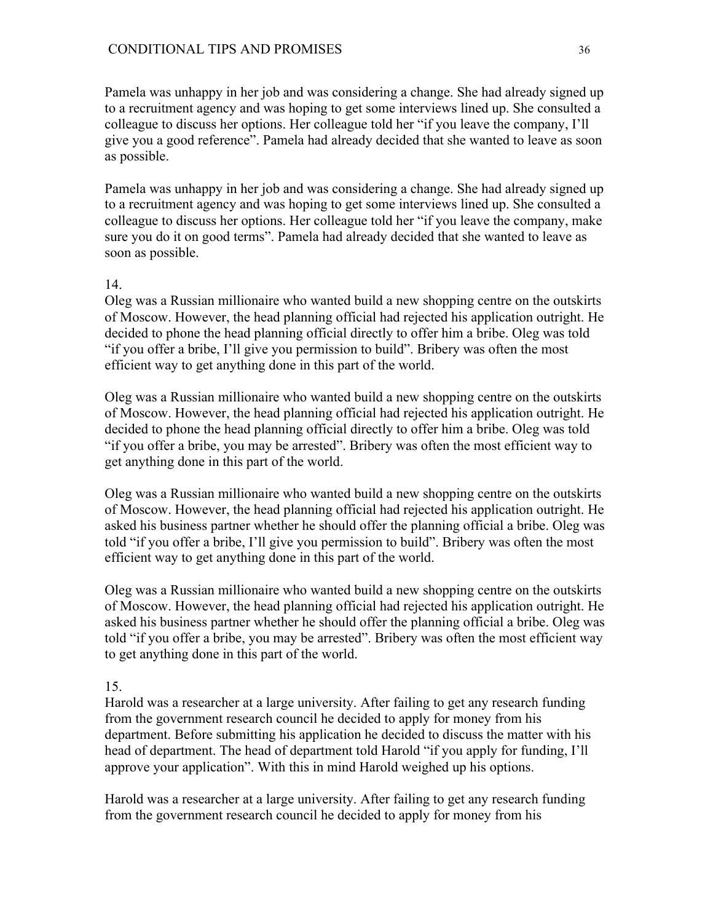Pamela was unhappy in her job and was considering a change. She had already signed up to a recruitment agency and was hoping to get some interviews lined up. She consulted a colleague to discuss her options. Her colleague told her "if you leave the company, I'll give you a good reference". Pamela had already decided that she wanted to leave as soon as possible.

Pamela was unhappy in her job and was considering a change. She had already signed up to a recruitment agency and was hoping to get some interviews lined up. She consulted a colleague to discuss her options. Her colleague told her "if you leave the company, make sure you do it on good terms". Pamela had already decided that she wanted to leave as soon as possible.

# 14.

Oleg was a Russian millionaire who wanted build a new shopping centre on the outskirts of Moscow. However, the head planning official had rejected his application outright. He decided to phone the head planning official directly to offer him a bribe. Oleg was told "if you offer a bribe, I'll give you permission to build". Bribery was often the most efficient way to get anything done in this part of the world.

Oleg was a Russian millionaire who wanted build a new shopping centre on the outskirts of Moscow. However, the head planning official had rejected his application outright. He decided to phone the head planning official directly to offer him a bribe. Oleg was told "if you offer a bribe, you may be arrested". Bribery was often the most efficient way to get anything done in this part of the world.

Oleg was a Russian millionaire who wanted build a new shopping centre on the outskirts of Moscow. However, the head planning official had rejected his application outright. He asked his business partner whether he should offer the planning official a bribe. Oleg was told "if you offer a bribe, I'll give you permission to build". Bribery was often the most efficient way to get anything done in this part of the world.

Oleg was a Russian millionaire who wanted build a new shopping centre on the outskirts of Moscow. However, the head planning official had rejected his application outright. He asked his business partner whether he should offer the planning official a bribe. Oleg was told "if you offer a bribe, you may be arrested". Bribery was often the most efficient way to get anything done in this part of the world.

# 15.

Harold was a researcher at a large university. After failing to get any research funding from the government research council he decided to apply for money from his department. Before submitting his application he decided to discuss the matter with his head of department. The head of department told Harold "if you apply for funding, I'll approve your application". With this in mind Harold weighed up his options.

Harold was a researcher at a large university. After failing to get any research funding from the government research council he decided to apply for money from his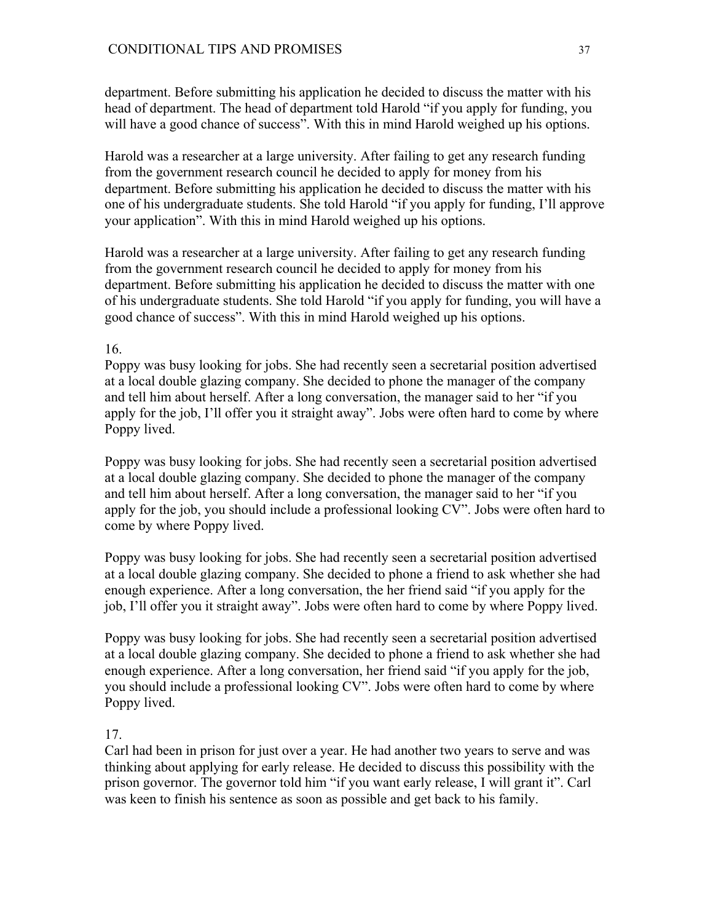department. Before submitting his application he decided to discuss the matter with his head of department. The head of department told Harold "if you apply for funding, you will have a good chance of success". With this in mind Harold weighed up his options.

Harold was a researcher at a large university. After failing to get any research funding from the government research council he decided to apply for money from his department. Before submitting his application he decided to discuss the matter with his one of his undergraduate students. She told Harold "if you apply for funding, I'll approve your application". With this in mind Harold weighed up his options.

Harold was a researcher at a large university. After failing to get any research funding from the government research council he decided to apply for money from his department. Before submitting his application he decided to discuss the matter with one of his undergraduate students. She told Harold "if you apply for funding, you will have a good chance of success". With this in mind Harold weighed up his options.

# 16.

Poppy was busy looking for jobs. She had recently seen a secretarial position advertised at a local double glazing company. She decided to phone the manager of the company and tell him about herself. After a long conversation, the manager said to her "if you apply for the job, I'll offer you it straight away". Jobs were often hard to come by where Poppy lived.

Poppy was busy looking for jobs. She had recently seen a secretarial position advertised at a local double glazing company. She decided to phone the manager of the company and tell him about herself. After a long conversation, the manager said to her "if you apply for the job, you should include a professional looking CV". Jobs were often hard to come by where Poppy lived.

Poppy was busy looking for jobs. She had recently seen a secretarial position advertised at a local double glazing company. She decided to phone a friend to ask whether she had enough experience. After a long conversation, the her friend said "if you apply for the job, I'll offer you it straight away". Jobs were often hard to come by where Poppy lived.

Poppy was busy looking for jobs. She had recently seen a secretarial position advertised at a local double glazing company. She decided to phone a friend to ask whether she had enough experience. After a long conversation, her friend said "if you apply for the job, you should include a professional looking CV". Jobs were often hard to come by where Poppy lived.

# 17.

Carl had been in prison for just over a year. He had another two years to serve and was thinking about applying for early release. He decided to discuss this possibility with the prison governor. The governor told him "if you want early release, I will grant it". Carl was keen to finish his sentence as soon as possible and get back to his family.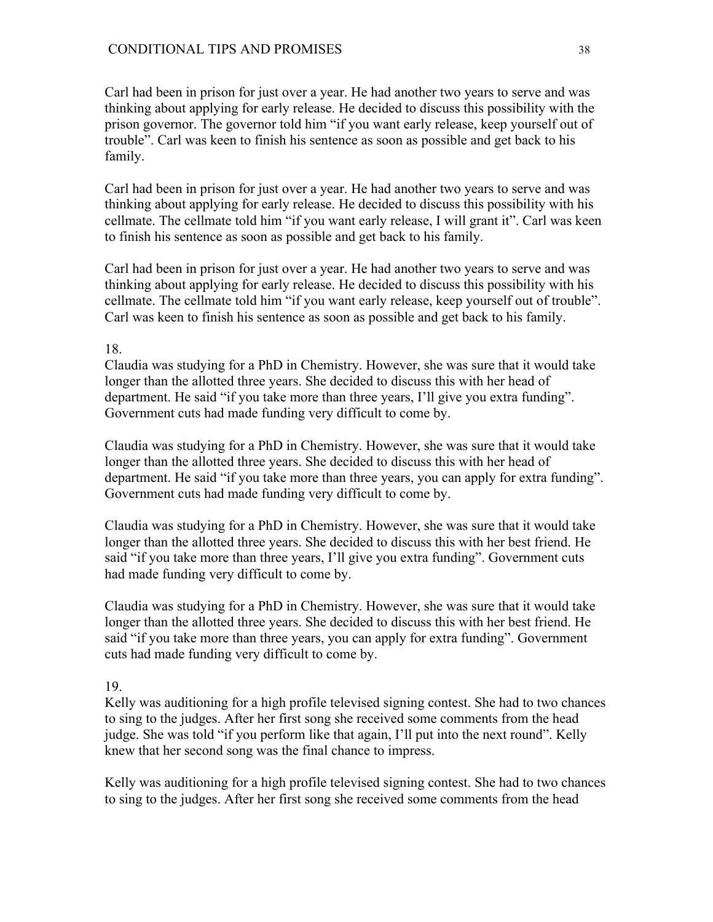Carl had been in prison for just over a year. He had another two years to serve and was thinking about applying for early release. He decided to discuss this possibility with the prison governor. The governor told him "if you want early release, keep yourself out of trouble". Carl was keen to finish his sentence as soon as possible and get back to his family.

Carl had been in prison for just over a year. He had another two years to serve and was thinking about applying for early release. He decided to discuss this possibility with his cellmate. The cellmate told him "if you want early release, I will grant it". Carl was keen to finish his sentence as soon as possible and get back to his family.

Carl had been in prison for just over a year. He had another two years to serve and was thinking about applying for early release. He decided to discuss this possibility with his cellmate. The cellmate told him "if you want early release, keep yourself out of trouble". Carl was keen to finish his sentence as soon as possible and get back to his family.

# 18.

Claudia was studying for a PhD in Chemistry. However, she was sure that it would take longer than the allotted three years. She decided to discuss this with her head of department. He said "if you take more than three years, I'll give you extra funding". Government cuts had made funding very difficult to come by.

Claudia was studying for a PhD in Chemistry. However, she was sure that it would take longer than the allotted three years. She decided to discuss this with her head of department. He said "if you take more than three years, you can apply for extra funding". Government cuts had made funding very difficult to come by.

Claudia was studying for a PhD in Chemistry. However, she was sure that it would take longer than the allotted three years. She decided to discuss this with her best friend. He said "if you take more than three years, I'll give you extra funding". Government cuts had made funding very difficult to come by.

Claudia was studying for a PhD in Chemistry. However, she was sure that it would take longer than the allotted three years. She decided to discuss this with her best friend. He said "if you take more than three years, you can apply for extra funding". Government cuts had made funding very difficult to come by.

# 19.

Kelly was auditioning for a high profile televised signing contest. She had to two chances to sing to the judges. After her first song she received some comments from the head judge. She was told "if you perform like that again, I'll put into the next round". Kelly knew that her second song was the final chance to impress.

Kelly was auditioning for a high profile televised signing contest. She had to two chances to sing to the judges. After her first song she received some comments from the head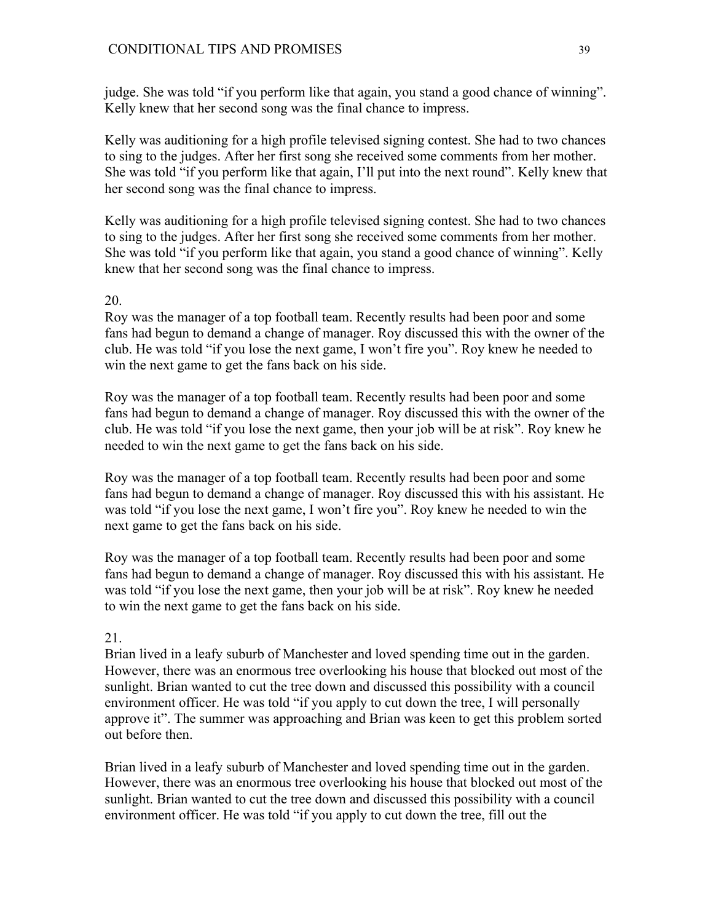judge. She was told "if you perform like that again, you stand a good chance of winning". Kelly knew that her second song was the final chance to impress.

Kelly was auditioning for a high profile televised signing contest. She had to two chances to sing to the judges. After her first song she received some comments from her mother. She was told "if you perform like that again, I'll put into the next round". Kelly knew that her second song was the final chance to impress.

Kelly was auditioning for a high profile televised signing contest. She had to two chances to sing to the judges. After her first song she received some comments from her mother. She was told "if you perform like that again, you stand a good chance of winning". Kelly knew that her second song was the final chance to impress.

# 20.

Roy was the manager of a top football team. Recently results had been poor and some fans had begun to demand a change of manager. Roy discussed this with the owner of the club. He was told "if you lose the next game, I won't fire you". Roy knew he needed to win the next game to get the fans back on his side.

Roy was the manager of a top football team. Recently results had been poor and some fans had begun to demand a change of manager. Roy discussed this with the owner of the club. He was told "if you lose the next game, then your job will be at risk". Roy knew he needed to win the next game to get the fans back on his side.

Roy was the manager of a top football team. Recently results had been poor and some fans had begun to demand a change of manager. Roy discussed this with his assistant. He was told "if you lose the next game, I won't fire you". Roy knew he needed to win the next game to get the fans back on his side.

Roy was the manager of a top football team. Recently results had been poor and some fans had begun to demand a change of manager. Roy discussed this with his assistant. He was told "if you lose the next game, then your job will be at risk". Roy knew he needed to win the next game to get the fans back on his side.

# 21.

Brian lived in a leafy suburb of Manchester and loved spending time out in the garden. However, there was an enormous tree overlooking his house that blocked out most of the sunlight. Brian wanted to cut the tree down and discussed this possibility with a council environment officer. He was told "if you apply to cut down the tree, I will personally approve it". The summer was approaching and Brian was keen to get this problem sorted out before then.

Brian lived in a leafy suburb of Manchester and loved spending time out in the garden. However, there was an enormous tree overlooking his house that blocked out most of the sunlight. Brian wanted to cut the tree down and discussed this possibility with a council environment officer. He was told "if you apply to cut down the tree, fill out the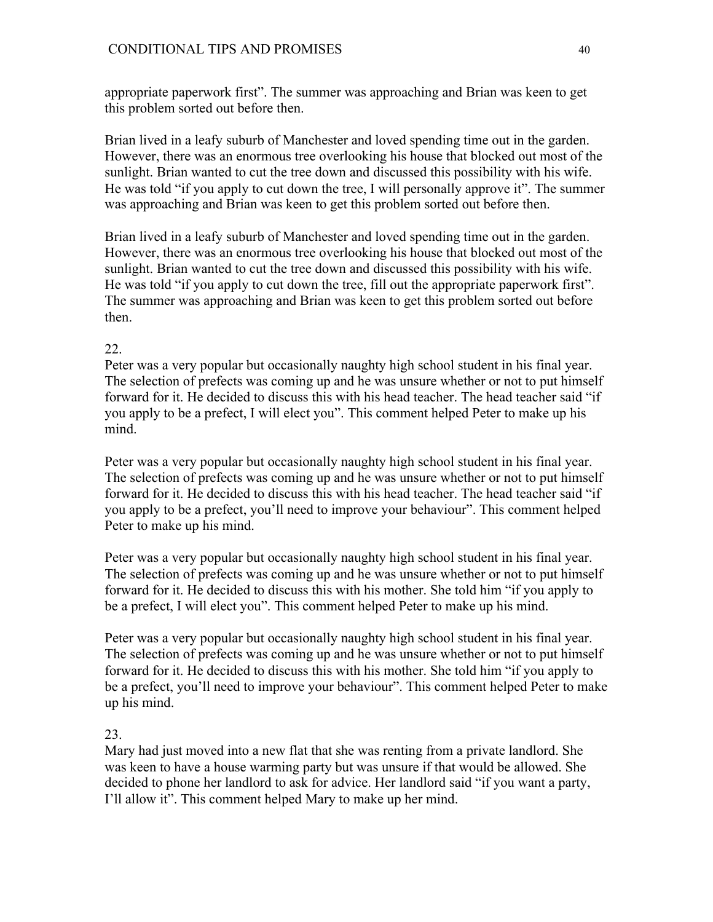appropriate paperwork first". The summer was approaching and Brian was keen to get this problem sorted out before then.

Brian lived in a leafy suburb of Manchester and loved spending time out in the garden. However, there was an enormous tree overlooking his house that blocked out most of the sunlight. Brian wanted to cut the tree down and discussed this possibility with his wife. He was told "if you apply to cut down the tree, I will personally approve it". The summer was approaching and Brian was keen to get this problem sorted out before then.

Brian lived in a leafy suburb of Manchester and loved spending time out in the garden. However, there was an enormous tree overlooking his house that blocked out most of the sunlight. Brian wanted to cut the tree down and discussed this possibility with his wife. He was told "if you apply to cut down the tree, fill out the appropriate paperwork first". The summer was approaching and Brian was keen to get this problem sorted out before then.

# 22.

Peter was a very popular but occasionally naughty high school student in his final year. The selection of prefects was coming up and he was unsure whether or not to put himself forward for it. He decided to discuss this with his head teacher. The head teacher said "if you apply to be a prefect, I will elect you". This comment helped Peter to make up his mind.

Peter was a very popular but occasionally naughty high school student in his final year. The selection of prefects was coming up and he was unsure whether or not to put himself forward for it. He decided to discuss this with his head teacher. The head teacher said "if you apply to be a prefect, you'll need to improve your behaviour". This comment helped Peter to make up his mind.

Peter was a very popular but occasionally naughty high school student in his final year. The selection of prefects was coming up and he was unsure whether or not to put himself forward for it. He decided to discuss this with his mother. She told him "if you apply to be a prefect, I will elect you". This comment helped Peter to make up his mind.

Peter was a very popular but occasionally naughty high school student in his final year. The selection of prefects was coming up and he was unsure whether or not to put himself forward for it. He decided to discuss this with his mother. She told him "if you apply to be a prefect, you'll need to improve your behaviour". This comment helped Peter to make up his mind.

# 23.

Mary had just moved into a new flat that she was renting from a private landlord. She was keen to have a house warming party but was unsure if that would be allowed. She decided to phone her landlord to ask for advice. Her landlord said "if you want a party, I'll allow it". This comment helped Mary to make up her mind.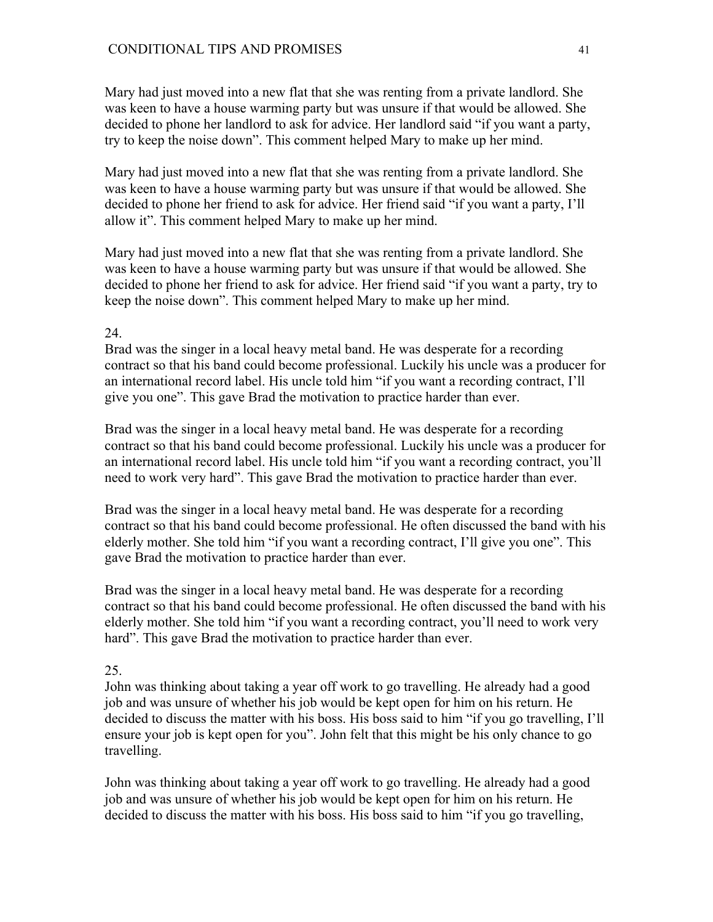Mary had just moved into a new flat that she was renting from a private landlord. She was keen to have a house warming party but was unsure if that would be allowed. She decided to phone her landlord to ask for advice. Her landlord said "if you want a party, try to keep the noise down". This comment helped Mary to make up her mind.

Mary had just moved into a new flat that she was renting from a private landlord. She was keen to have a house warming party but was unsure if that would be allowed. She decided to phone her friend to ask for advice. Her friend said "if you want a party, I'll allow it". This comment helped Mary to make up her mind.

Mary had just moved into a new flat that she was renting from a private landlord. She was keen to have a house warming party but was unsure if that would be allowed. She decided to phone her friend to ask for advice. Her friend said "if you want a party, try to keep the noise down". This comment helped Mary to make up her mind.

# 24.

Brad was the singer in a local heavy metal band. He was desperate for a recording contract so that his band could become professional. Luckily his uncle was a producer for an international record label. His uncle told him "if you want a recording contract, I'll give you one". This gave Brad the motivation to practice harder than ever.

Brad was the singer in a local heavy metal band. He was desperate for a recording contract so that his band could become professional. Luckily his uncle was a producer for an international record label. His uncle told him "if you want a recording contract, you'll need to work very hard". This gave Brad the motivation to practice harder than ever.

Brad was the singer in a local heavy metal band. He was desperate for a recording contract so that his band could become professional. He often discussed the band with his elderly mother. She told him "if you want a recording contract, I'll give you one". This gave Brad the motivation to practice harder than ever.

Brad was the singer in a local heavy metal band. He was desperate for a recording contract so that his band could become professional. He often discussed the band with his elderly mother. She told him "if you want a recording contract, you'll need to work very hard". This gave Brad the motivation to practice harder than ever.

# 25.

John was thinking about taking a year off work to go travelling. He already had a good job and was unsure of whether his job would be kept open for him on his return. He decided to discuss the matter with his boss. His boss said to him "if you go travelling, I'll ensure your job is kept open for you". John felt that this might be his only chance to go travelling.

John was thinking about taking a year off work to go travelling. He already had a good job and was unsure of whether his job would be kept open for him on his return. He decided to discuss the matter with his boss. His boss said to him "if you go travelling,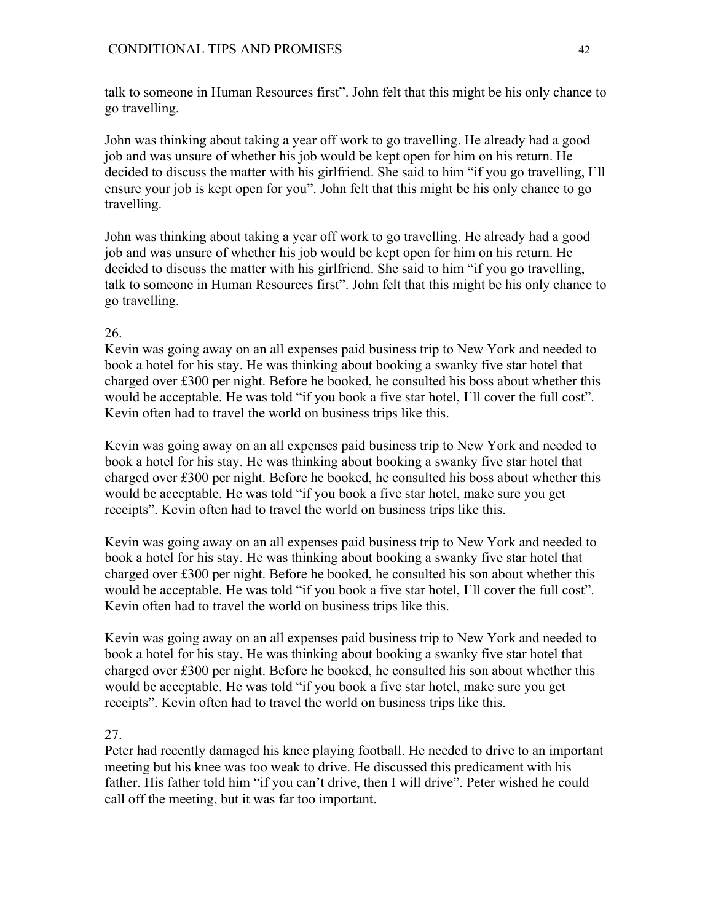talk to someone in Human Resources first". John felt that this might be his only chance to go travelling.

John was thinking about taking a year off work to go travelling. He already had a good job and was unsure of whether his job would be kept open for him on his return. He decided to discuss the matter with his girlfriend. She said to him "if you go travelling, I'll ensure your job is kept open for you". John felt that this might be his only chance to go travelling.

John was thinking about taking a year off work to go travelling. He already had a good job and was unsure of whether his job would be kept open for him on his return. He decided to discuss the matter with his girlfriend. She said to him "if you go travelling, talk to someone in Human Resources first". John felt that this might be his only chance to go travelling.

# 26.

Kevin was going away on an all expenses paid business trip to New York and needed to book a hotel for his stay. He was thinking about booking a swanky five star hotel that charged over £300 per night. Before he booked, he consulted his boss about whether this would be acceptable. He was told "if you book a five star hotel, I'll cover the full cost". Kevin often had to travel the world on business trips like this.

Kevin was going away on an all expenses paid business trip to New York and needed to book a hotel for his stay. He was thinking about booking a swanky five star hotel that charged over £300 per night. Before he booked, he consulted his boss about whether this would be acceptable. He was told "if you book a five star hotel, make sure you get receipts". Kevin often had to travel the world on business trips like this.

Kevin was going away on an all expenses paid business trip to New York and needed to book a hotel for his stay. He was thinking about booking a swanky five star hotel that charged over £300 per night. Before he booked, he consulted his son about whether this would be acceptable. He was told "if you book a five star hotel, I'll cover the full cost". Kevin often had to travel the world on business trips like this.

Kevin was going away on an all expenses paid business trip to New York and needed to book a hotel for his stay. He was thinking about booking a swanky five star hotel that charged over £300 per night. Before he booked, he consulted his son about whether this would be acceptable. He was told "if you book a five star hotel, make sure you get receipts". Kevin often had to travel the world on business trips like this.

# 27.

Peter had recently damaged his knee playing football. He needed to drive to an important meeting but his knee was too weak to drive. He discussed this predicament with his father. His father told him "if you can't drive, then I will drive". Peter wished he could call off the meeting, but it was far too important.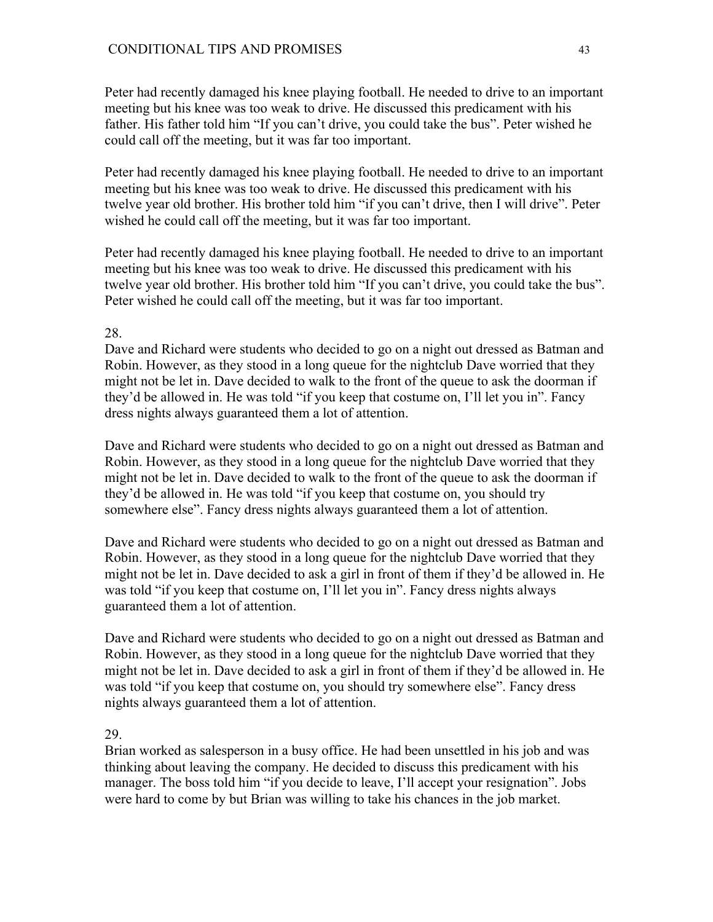Peter had recently damaged his knee playing football. He needed to drive to an important meeting but his knee was too weak to drive. He discussed this predicament with his father. His father told him "If you can't drive, you could take the bus". Peter wished he could call off the meeting, but it was far too important.

Peter had recently damaged his knee playing football. He needed to drive to an important meeting but his knee was too weak to drive. He discussed this predicament with his twelve year old brother. His brother told him "if you can't drive, then I will drive". Peter wished he could call off the meeting, but it was far too important.

Peter had recently damaged his knee playing football. He needed to drive to an important meeting but his knee was too weak to drive. He discussed this predicament with his twelve year old brother. His brother told him "If you can't drive, you could take the bus". Peter wished he could call off the meeting, but it was far too important.

## 28.

Dave and Richard were students who decided to go on a night out dressed as Batman and Robin. However, as they stood in a long queue for the nightclub Dave worried that they might not be let in. Dave decided to walk to the front of the queue to ask the doorman if they'd be allowed in. He was told "if you keep that costume on, I'll let you in". Fancy dress nights always guaranteed them a lot of attention.

Dave and Richard were students who decided to go on a night out dressed as Batman and Robin. However, as they stood in a long queue for the nightclub Dave worried that they might not be let in. Dave decided to walk to the front of the queue to ask the doorman if they'd be allowed in. He was told "if you keep that costume on, you should try somewhere else". Fancy dress nights always guaranteed them a lot of attention.

Dave and Richard were students who decided to go on a night out dressed as Batman and Robin. However, as they stood in a long queue for the nightclub Dave worried that they might not be let in. Dave decided to ask a girl in front of them if they'd be allowed in. He was told "if you keep that costume on, I'll let you in". Fancy dress nights always guaranteed them a lot of attention.

Dave and Richard were students who decided to go on a night out dressed as Batman and Robin. However, as they stood in a long queue for the nightclub Dave worried that they might not be let in. Dave decided to ask a girl in front of them if they'd be allowed in. He was told "if you keep that costume on, you should try somewhere else". Fancy dress nights always guaranteed them a lot of attention.

# 29.

Brian worked as salesperson in a busy office. He had been unsettled in his job and was thinking about leaving the company. He decided to discuss this predicament with his manager. The boss told him "if you decide to leave, I'll accept your resignation". Jobs were hard to come by but Brian was willing to take his chances in the job market.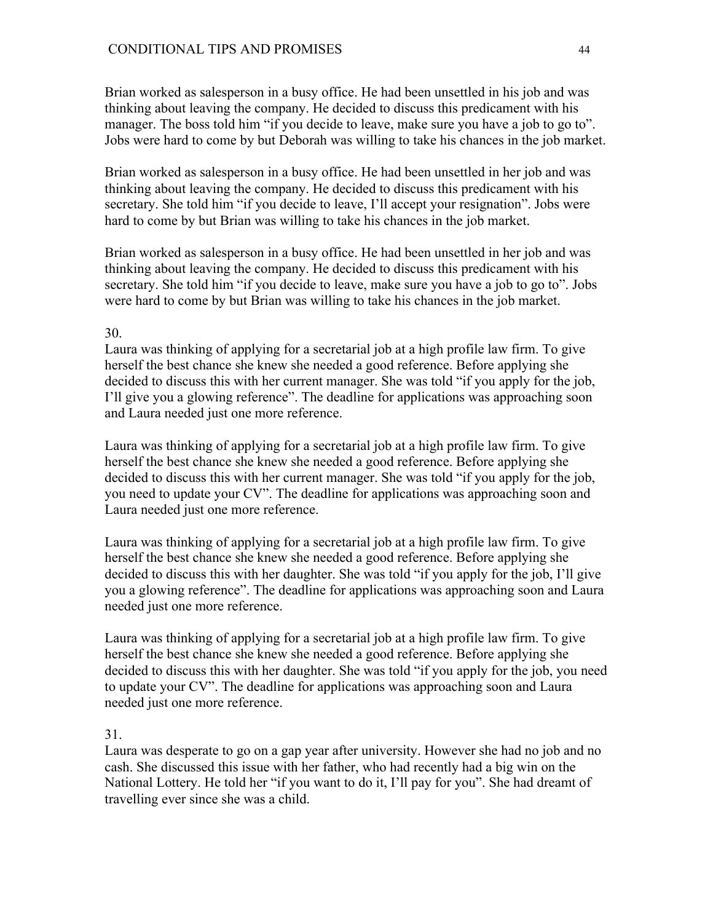Brian worked as salesperson in a busy office. He had been unsettled in his job and was thinking about leaving the company. He decided to discuss this predicament with his manager. The boss told him "if you decide to leave, make sure you have a job to go to". Jobs were hard to come by but Deborah was willing to take his chances in the job market.

Brian worked as salesperson in a busy office. He had been unsettled in her job and was thinking about leaving the company. He decided to discuss this predicament with his secretary. She told him "if you decide to leave, I'll accept your resignation". Jobs were hard to come by but Brian was willing to take his chances in the job market.

Brian worked as salesperson in a busy office. He had been unsettled in her job and was thinking about leaving the company. He decided to discuss this predicament with his secretary. She told him "if you decide to leave, make sure you have a job to go to". Jobs were hard to come by but Brian was willing to take his chances in the job market.

# 30.

Laura was thinking of applying for a secretarial job at a high profile law firm. To give herself the best chance she knew she needed a good reference. Before applying she decided to discuss this with her current manager. She was told "if you apply for the job, I'll give you a glowing reference". The deadline for applications was approaching soon and Laura needed just one more reference.

Laura was thinking of applying for a secretarial job at a high profile law firm. To give herself the best chance she knew she needed a good reference. Before applying she decided to discuss this with her current manager. She was told "if you apply for the job, you need to update your CV". The deadline for applications was approaching soon and Laura needed just one more reference.

Laura was thinking of applying for a secretarial job at a high profile law firm. To give herself the best chance she knew she needed a good reference. Before applying she decided to discuss this with her daughter. She was told "if you apply for the job, I'll give you a glowing reference". The deadline for applications was approaching soon and Laura needed just one more reference.

Laura was thinking of applying for a secretarial job at a high profile law firm. To give herself the best chance she knew she needed a good reference. Before applying she decided to discuss this with her daughter. She was told "if you apply for the job, you need to update your CV". The deadline for applications was approaching soon and Laura needed just one more reference.

# 31.

Laura was desperate to go on a gap year after university. However she had no job and no cash. She discussed this issue with her father, who had recently had a big win on the National Lottery. He told her "if you want to do it, I'll pay for you". She had dreamt of travelling ever since she was a child.